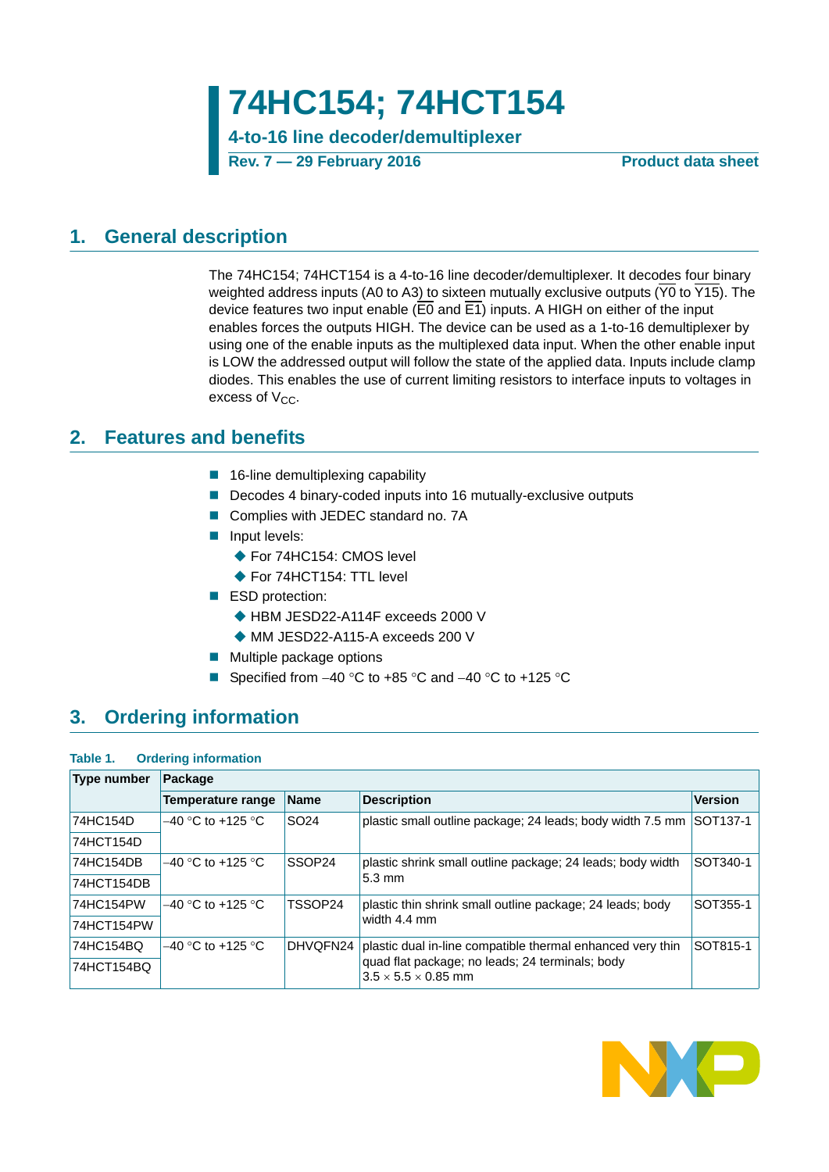**4-to-16 line decoder/demultiplexer**

**Rev. 7 — 29 February 2016 Product data sheet**

## <span id="page-0-0"></span>**1. General description**

The 74HC154; 74HCT154 is a 4-to-16 line decoder/demultiplexer. It decodes four binary weighted address inputs (A0 to A3) to sixteen mutually exclusive outputs ( $\overline{Y0}$  to  $\overline{Y15}$ ). The device features two input enable (E0 and E1) inputs. A HIGH on either of the input enables forces the outputs HIGH. The device can be used as a 1-to-16 demultiplexer by using one of the enable inputs as the multiplexed data input. When the other enable input is LOW the addressed output will follow the state of the applied data. Inputs include clamp diodes. This enables the use of current limiting resistors to interface inputs to voltages in excess of  $V_{CC}$ .

## <span id="page-0-1"></span>**2. Features and benefits**

- 16-line demultiplexing capability
- Decodes 4 binary-coded inputs into 16 mutually-exclusive outputs
- Complies with JEDEC standard no. 7A
- **Input levels:** 
	- ◆ For 74HC154: CMOS level
	- ◆ For 74HCT154: TTL level
- **ESD** protection:
	- ◆ HBM JESD22-A114F exceeds 2000 V
	- ◆ MM JESD22-A115-A exceeds 200 V
- Multiple package options
- Specified from  $-40$  °C to  $+85$  °C and  $-40$  °C to  $+125$  °C

# <span id="page-0-2"></span>**3. Ordering information**

### **Table 1. Ordering information**

| <b>Type number</b> | Package             |                  |                                                                                    |                |
|--------------------|---------------------|------------------|------------------------------------------------------------------------------------|----------------|
|                    | Temperature range   | <b>Name</b>      | <b>Description</b>                                                                 | <b>Version</b> |
| 74HC154D           | $-40$ °C to +125 °C | SO <sub>24</sub> | plastic small outline package; 24 leads; body width 7.5 mm                         | SOT137-1       |
| 74HCT154D          |                     |                  |                                                                                    |                |
| 74HC154DB          | $-40$ °C to +125 °C | SSOP24           | plastic shrink small outline package; 24 leads; body width                         | SOT340-1       |
| 74HCT154DB         |                     |                  | $5.3 \text{ mm}$                                                                   |                |
| 74HC154PW          | $-40$ °C to +125 °C | TSSOP24          | plastic thin shrink small outline package; 24 leads; body                          | SOT355-1       |
| 74HCT154PW         |                     |                  | width 4.4 mm                                                                       |                |
| 74HC154BQ          | $-40$ °C to +125 °C | DHVQFN24         | plastic dual in-line compatible thermal enhanced very thin                         | SOT815-1       |
| 74HCT154BQ         |                     |                  | quad flat package; no leads; 24 terminals; body<br>$3.5 \times 5.5 \times 0.85$ mm |                |

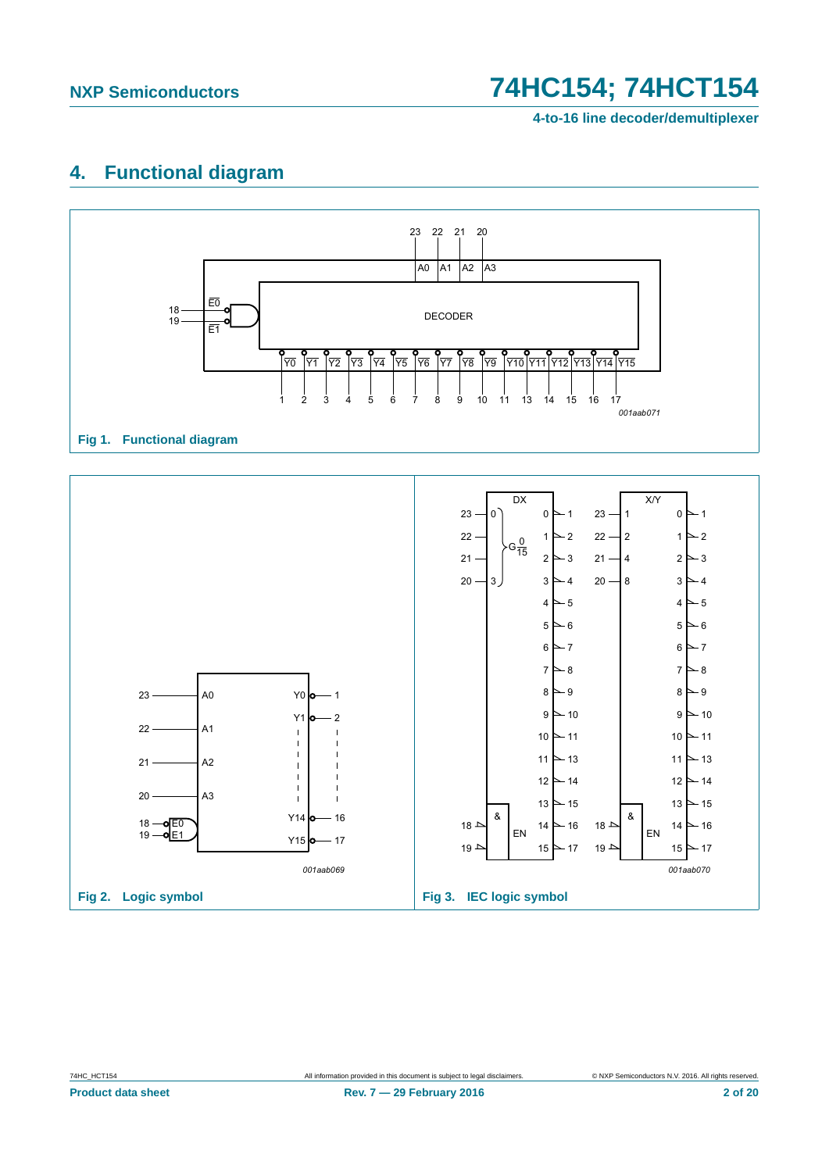# <span id="page-1-0"></span>**4. Functional diagram**



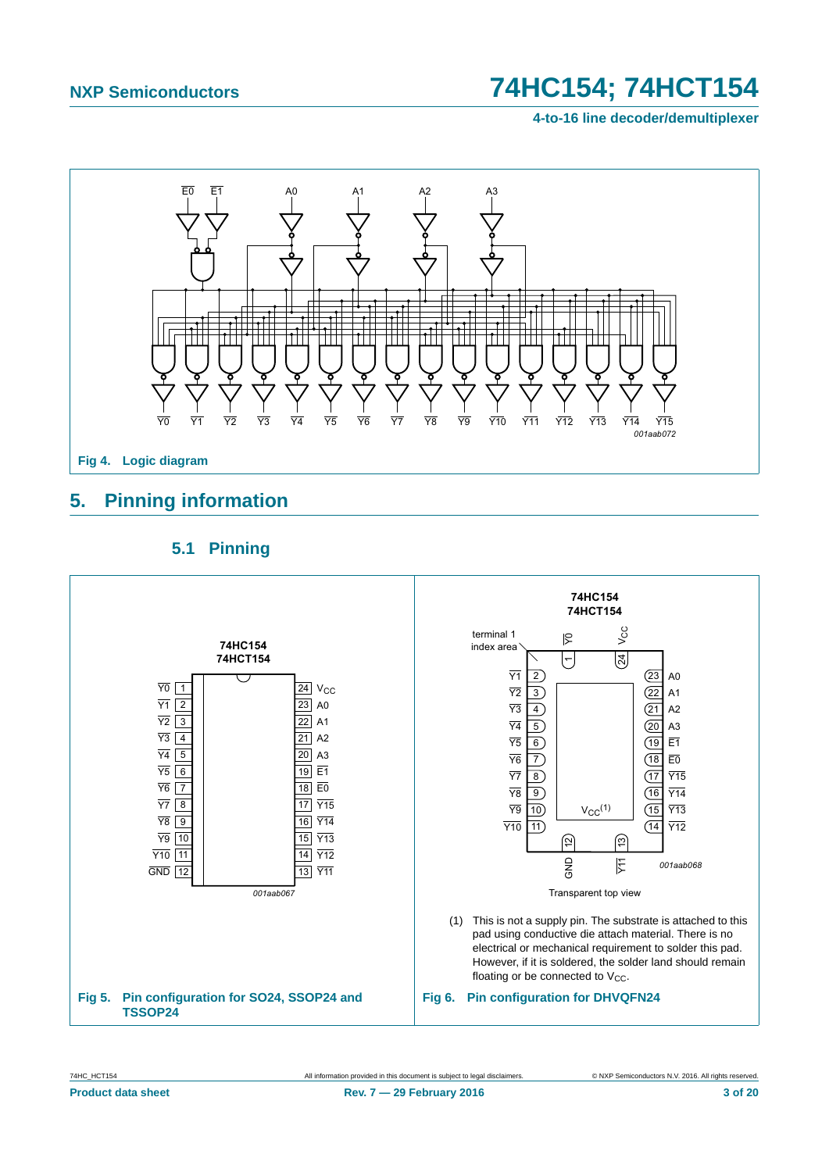**4-to-16 line decoder/demultiplexer**



# <span id="page-2-0"></span>**5. Pinning information**

## **5.1 Pinning**

<span id="page-2-1"></span>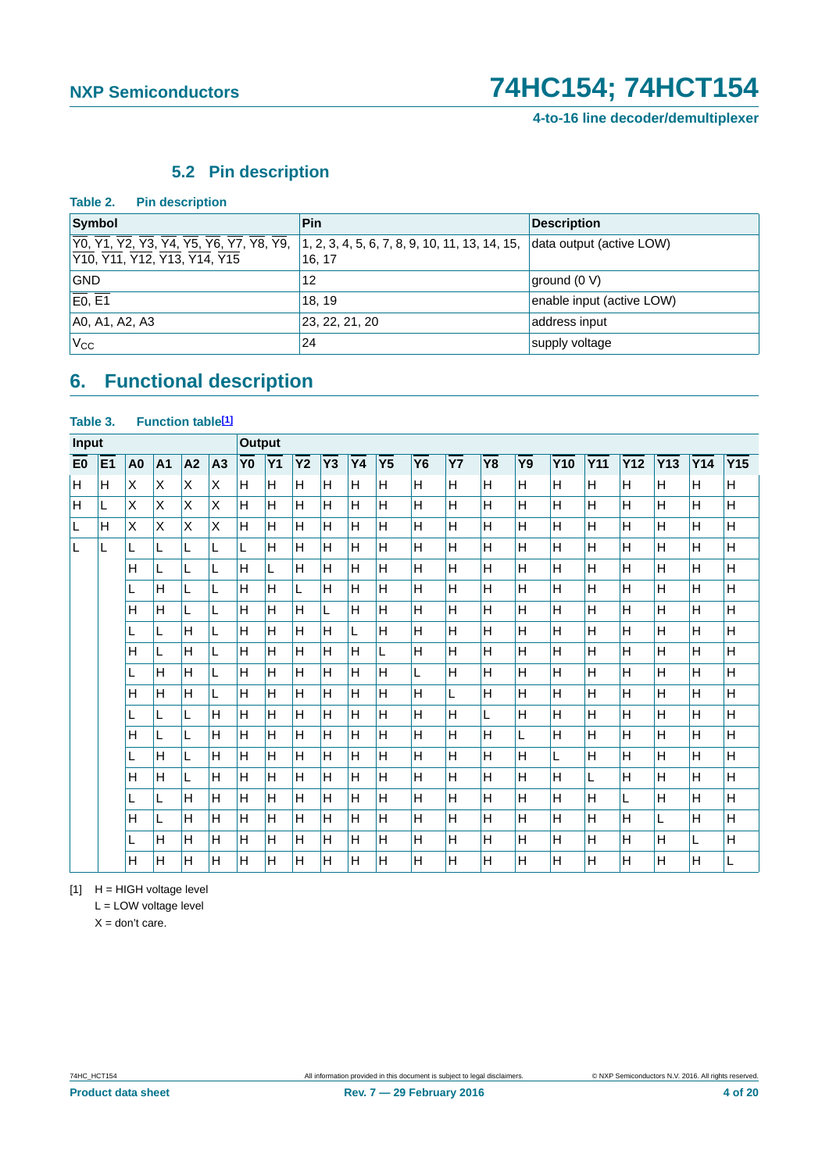## **5.2 Pin description**

<span id="page-3-2"></span>

| Table 2.<br><b>Pin description</b>                                                                                                                                                                                                                                                                                                                                                                    |                |                           |
|-------------------------------------------------------------------------------------------------------------------------------------------------------------------------------------------------------------------------------------------------------------------------------------------------------------------------------------------------------------------------------------------------------|----------------|---------------------------|
| Symbol                                                                                                                                                                                                                                                                                                                                                                                                | <b>Pin</b>     | <b>Description</b>        |
| $\overline{Y0}$ , $\overline{Y1}$ , $\overline{Y2}$ , $\overline{Y3}$ , $\overline{Y4}$ , $\overline{Y5}$ , $\overline{Y6}$ , $\overline{Y7}$ , $\overline{Y8}$ , $\overline{Y9}$ , $\overline{11}$ , $2$ , $3$ , $4$ , $5$ , $6$ , $7$ , $8$ , $9$ , $10$ , $11$ , $13$ , $14$ , $15$ ,<br>Y <sub>10</sub> , Y <sub>11</sub> , Y <sub>12</sub> , Y <sub>13</sub> , Y <sub>14</sub> , Y <sub>15</sub> | 16.17          | data output (active LOW)  |
| <b>GND</b>                                                                                                                                                                                                                                                                                                                                                                                            | 12             | ground (0 V)              |
| E0, E1                                                                                                                                                                                                                                                                                                                                                                                                | 18.19          | enable input (active LOW) |
| A0, A1, A2, A3                                                                                                                                                                                                                                                                                                                                                                                        | 23, 22, 21, 20 | address input             |
| $V_{\rm CC}$                                                                                                                                                                                                                                                                                                                                                                                          | 24             | supply voltage            |

# <span id="page-3-3"></span>**6. Functional description**

### <span id="page-3-1"></span>Table 3. Function table<sup>[1]</sup>

| <b>Input</b>   |                |                |                | <b>Output</b> |    |                |           |           |    |    |                |    |           |           |    |            |            |            |     |     |     |
|----------------|----------------|----------------|----------------|---------------|----|----------------|-----------|-----------|----|----|----------------|----|-----------|-----------|----|------------|------------|------------|-----|-----|-----|
| E <sub>0</sub> | E <sub>1</sub> | A <sub>0</sub> | A <sub>1</sub> | A2            | A3 | Y <sub>0</sub> | <b>Y1</b> | <b>Y2</b> | Y3 | Y4 | Y <sub>5</sub> | Y6 | <b>Y7</b> | <b>Y8</b> | Y9 | <b>Y10</b> | <b>Y11</b> | <b>Y12</b> | Y13 | Y14 | Y15 |
| ΙH             | H              | X              | X              | X             | X  | H              | H         | H         | H  | H  | H              | н  | H         | H         | H. | H          | H          | H          | H   | H   | н   |
| H              | L              | X              | X              | X             | X  | H              | H         | H         | H  | H  | H              | H  | Н         | H         | H  | H          | H          | H          | H   | H   | Η   |
| L              | H              | X              | X              | X             | X  | H              | H         | H         | Н  | н  | H              | H  | Н         | H         | H  | H          | H          | H          | H   | H   | Η   |
| L              | L              | L              | L              | L             | L  | L              | H         | н         | H  | H  | H              | Η  | H         | H         | H  | H          | Н          | н          | H   | H   | Η   |
|                |                | H              | L              | L             | Г  | H              | Г         | H         | H  | н  | H              | Η  | Η         | H         | Н  | H          | H          | H          | H   | H   | Η   |
|                |                |                | H              | L             | L  | H              | H         | L         | H  | н  | H              | H  | H         | H         | H  | H          | H          | H          | H   | H   | н   |
|                |                | н              | H              | L             | L  | H              | H         | H         | L. | н  | H              | Η  | Η         | H         | Н  | H          | H          | Н          | H   | H   | Η   |
|                |                |                | L              | н             | L  | Н              | H         | H         | H  | L  | H              | Η  | H         | H         | H  | H          | Н          | Н          | H   | H   | Η   |
|                |                | н              | L.             | н             | L  | H              | H         | H         | H  | H  | L              | н  | н         | H         | H  | H          | H          | н          | H   | H   | Η   |
|                |                |                | H              | н             | Г  | H              | H         | H         | H  | н  | H              | L  | Η         | H         | Н  | H          | H          | H          | H   | H   | Η   |
|                |                | н              | H              | H             | L  | Н              | H         | H         | H  | H  | H              | Η  | L         | H         | H  | H          | Н          | Н          | H   | H   | н   |
|                |                |                | L.             | L             | Н  | Н              | H         | H         | H  | H  | H              | H  | H         | Г         | H  | H          | H          | H          | H   | H   | Η   |
|                |                | H              | L              | L             | H  | H              | H         | H         | H  | H  | H              | н  | H         | H         | L  | H          | H          | H          | H   | H   | H   |
|                |                |                | н              | L             | H  | H              | H         | H         | H  | H  | H              | H  | H         | H         | H  | L          | Н          | H          | H   | H   | Η   |
|                |                | Н              | H              | L             | H  | H              | H         | H         | Н  | н  | H              | Η  | Η         | H         | H  | H          | L          | H          | H   | H   | H   |
|                |                |                | L.             | Н             | Н  | H              | H         | н         | H  | H  | H              | Η  | H         | H         | H  | H          | Н          | L          | H   | H   | Η   |
|                |                | H              | L              | Н             | Н  | Н              | H         | H         | H  | н  | H              | Η  | Η         | H         | H  | H          | Н          | H          | L   | H   | Η   |
|                |                |                | H              | H             | H  | H              | H         | H         | H  | H  | H              | H  | H         | H         | H  | H          | H          | H          | H   | L   | н   |
|                |                | Н              | H              | H             | H  | H              | Н         | H         | Н  | H  | H              | H  | Η         | H         | H  | H          | H          | H          | H   | H   | L   |

<span id="page-3-0"></span> $[1]$  H = HIGH voltage level

L = LOW voltage level

 $X =$  don't care.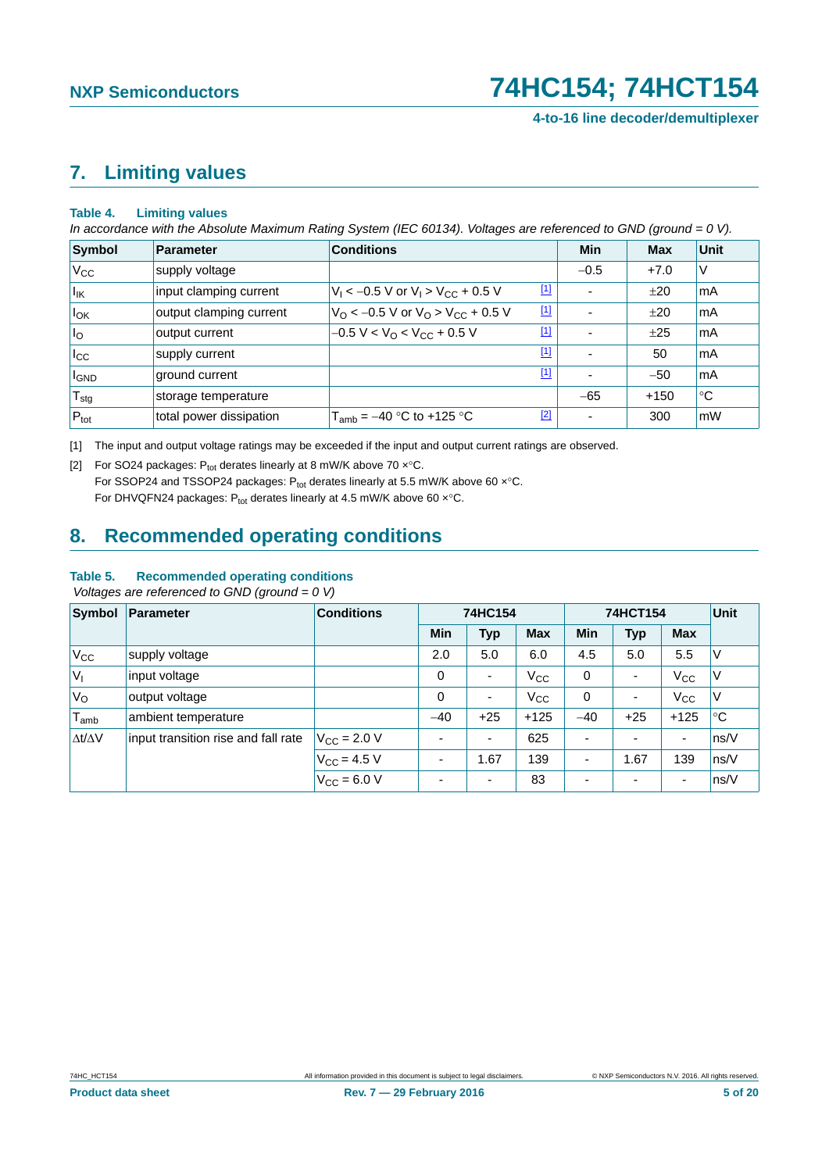## <span id="page-4-2"></span>**7. Limiting values**

#### **Table 4. Limiting values**

*In accordance with the Absolute Maximum Rating System (IEC 60134). Voltages are referenced to GND (ground = 0 V).*

| Symbol                | Parameter               | <b>Conditions</b>                                                      | Min                      | <b>Max</b> | <b>Unit</b> |
|-----------------------|-------------------------|------------------------------------------------------------------------|--------------------------|------------|-------------|
| $V_{\rm CC}$          | supply voltage          |                                                                        | $-0.5$                   | $+7.0$     | V           |
| $\vert$ <sub>IK</sub> | input clamping current  | $\boxed{1}$<br>$V_1$ < -0.5 V or $V_1$ > $V_{CC}$ + 0.5 V              | ٠                        | ±20        | mA          |
| $I_{OK}$              | output clamping current | $[1]$<br>$V_{\rm O}$ < -0.5 V or $V_{\rm O}$ > V <sub>CC</sub> + 0.5 V | ٠                        | ±20        | mA          |
| $I_{\rm O}$           | output current          | $\boxed{1}$<br>$-0.5 V < VO < VCC + 0.5 V$                             | ٠                        | ±25        | mA          |
| $I_{\rm CC}$          | supply current          | $[1]$                                                                  | $\overline{\phantom{0}}$ | 50         | mA          |
| <b>I</b> GND          | ground current          | $[1]$                                                                  | ٠                        | $-50$      | mA          |
| $T_{\text{stg}}$      | storage temperature     |                                                                        | $-65$                    | $+150$     | °C          |
| $P_{\text{tot}}$      | total power dissipation | $[2]$<br>$T_{amb} = -40$ °C to +125 °C                                 | ٠                        | 300        | mW          |

<span id="page-4-0"></span>[1] The input and output voltage ratings may be exceeded if the input and output current ratings are observed.

<span id="page-4-1"></span>[2] For SO24 packages:  $P_{tot}$  derates linearly at 8 mW/K above 70  $x^{\circ}$ C. For SSOP24 and TSSOP24 packages:  $P_{tot}$  derates linearly at 5.5 mW/K above 60  $x$ °C.

For DHVQFN24 packages:  $P_{tot}$  derates linearly at 4.5 mW/K above 60  $x$ °C.

## <span id="page-4-3"></span>**8. Recommended operating conditions**

### **Table 5. Recommended operating conditions**

 *Voltages are referenced to GND (ground = 0 V)*

| Symbol                         | <b>Parameter</b>                    | <b>Conditions</b>    | 74HC154                  |                          |              | 74HCT154                 | Unit                     |                          |        |
|--------------------------------|-------------------------------------|----------------------|--------------------------|--------------------------|--------------|--------------------------|--------------------------|--------------------------|--------|
|                                |                                     |                      | Min                      | <b>Typ</b>               | <b>Max</b>   | <b>Min</b>               | <b>Typ</b>               | <b>Max</b>               |        |
| $V_{\rm CC}$                   | supply voltage                      |                      | 2.0                      | 5.0                      | 6.0          | 4.5                      | 5.0                      | 5.5                      | $\vee$ |
| $V_{1}$                        | input voltage                       |                      | 0                        | $\overline{\phantom{a}}$ | $V_{\rm CC}$ | 0                        | $\overline{\phantom{0}}$ | $V_{\rm CC}$             | ۱V     |
| $V_{\rm O}$                    | output voltage                      |                      | 0                        | $\overline{\phantom{a}}$ | $V_{\rm CC}$ | 0                        | $\overline{\phantom{0}}$ | $V_{\rm CC}$             | V      |
| $\mathsf{\Gamma}_\mathsf{amb}$ | ambient temperature                 |                      | $-40$                    | $+25$                    | $+125$       | $-40$                    | $+25$                    | $+125$                   | °C     |
| $\Delta t/\Delta V$            | input transition rise and fall rate | $V_{\rm CC}$ = 2.0 V | $\overline{a}$           | $\overline{\phantom{a}}$ | 625          | $\blacksquare$           | $\overline{\phantom{0}}$ | $\overline{\phantom{a}}$ | ns/V   |
|                                |                                     | $V_{CC} = 4.5 V$     | $\overline{\phantom{a}}$ | 1.67                     | 139          | $\overline{\phantom{0}}$ | 1.67                     | 139                      | ns/V   |
|                                |                                     | $V_{\rm CC} = 6.0 V$ | $\overline{\phantom{a}}$ | $\overline{\phantom{a}}$ | 83           |                          | $\overline{\phantom{0}}$ | $\overline{\phantom{a}}$ | ns/V   |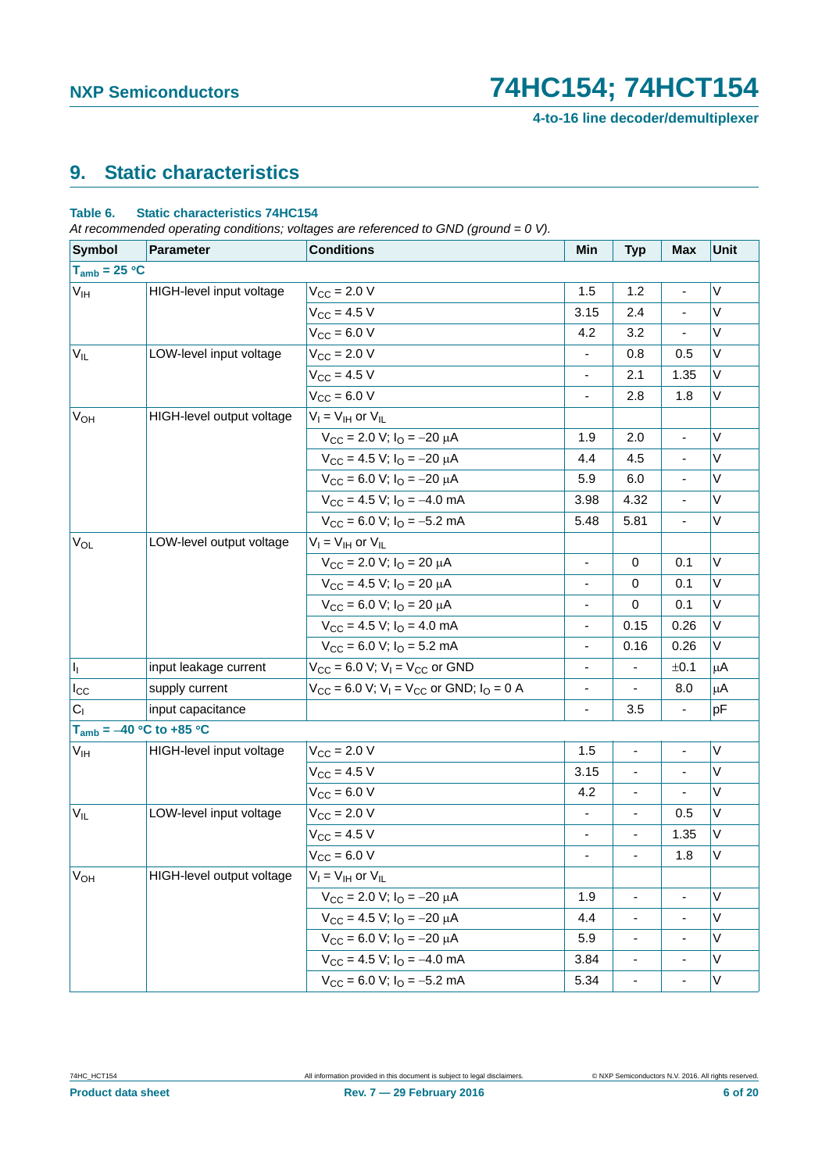# <span id="page-5-0"></span>**9. Static characteristics**

#### **Table 6. Static characteristics 74HC154**

*At recommended operating conditions; voltages are referenced to GND (ground = 0 V).*

| <b>Symbol</b>         | Parameter                    | <b>Conditions</b>                                                               | Min                          | <b>Typ</b>                   | <b>Max</b>                   | Unit    |
|-----------------------|------------------------------|---------------------------------------------------------------------------------|------------------------------|------------------------------|------------------------------|---------|
| $T_{amb} = 25 °C$     |                              |                                                                                 |                              |                              |                              |         |
| $V_{\text{IH}}$       | HIGH-level input voltage     | $V_{\text{CC}} = 2.0 V$                                                         | 1.5                          | 1.2                          | $\qquad \qquad \blacksquare$ | V       |
|                       |                              | $V_{CC}$ = 4.5 V                                                                | 3.15                         | 2.4                          |                              | V       |
|                       |                              | $V_{CC}$ = 6.0 V                                                                | 4.2                          | 3.2                          | ÷,                           | V       |
| $V_{IL}$              | LOW-level input voltage      | $V_{CC} = 2.0 V$                                                                | $\blacksquare$               | 0.8                          | 0.5                          | V       |
|                       |                              | $V_{CC}$ = 4.5 V                                                                | $\blacksquare$               | 2.1                          | 1.35                         | V       |
|                       |                              | $V_{CC} = 6.0 V$                                                                | L.                           | 2.8                          | 1.8                          | V       |
| V <sub>OH</sub>       | HIGH-level output voltage    | $V_I = V_{IH}$ or $V_{IL}$                                                      |                              |                              |                              |         |
|                       |                              | $V_{CC}$ = 2.0 V; $I_{O}$ = -20 $\mu$ A                                         | 1.9                          | 2.0                          |                              | V       |
|                       |                              | $V_{\text{CC}} = 4.5$ V; $I_{\text{O}} = -20$ $\mu$ A                           | 4.4                          | 4.5                          | $\blacksquare$               | V       |
|                       |                              | $V_{CC}$ = 6.0 V; $I_{O}$ = -20 $\mu$ A                                         | 5.9                          | 6.0                          |                              | V       |
|                       |                              | $V_{CC}$ = 4.5 V; $I_{O}$ = -4.0 mA                                             | 3.98                         | 4.32                         | $\blacksquare$               | V       |
|                       |                              | $V_{\text{CC}} = 6.0 \text{ V}; I_{\text{O}} = -5.2 \text{ mA}$                 | 5.48                         | 5.81                         | ÷,                           | V       |
| <b>V<sub>OL</sub></b> | LOW-level output voltage     | $V_I = V_{IH}$ or $V_{IL}$                                                      |                              |                              |                              |         |
|                       |                              | $V_{CC}$ = 2.0 V; $I_{O}$ = 20 $\mu$ A                                          | $\blacksquare$               | $\mathbf 0$                  | 0.1                          | V       |
|                       |                              | $V_{\text{CC}} = 4.5$ V; $I_{\text{O}} = 20$ $\mu$ A                            | -                            | 0                            | 0.1                          | V       |
|                       |                              | $V_{CC}$ = 6.0 V; $I_{O}$ = 20 $\mu$ A                                          |                              | $\mathbf 0$                  | 0.1                          | V       |
|                       |                              | $V_{CC}$ = 4.5 V; $I_{O}$ = 4.0 mA                                              | $\overline{\phantom{0}}$     | 0.15                         | 0.26                         | V       |
|                       |                              | $V_{CC}$ = 6.0 V; $IO$ = 5.2 mA                                                 | $\overline{\phantom{a}}$     | 0.16                         | 0.26                         | V       |
| h.                    | input leakage current        | $V_{CC}$ = 6.0 V; V <sub>I</sub> = V <sub>CC</sub> or GND                       | $\overline{\phantom{a}}$     | $\blacksquare$               | ±0.1                         | $\mu$ A |
| $I_{\rm CC}$          | supply current               | $V_{CC}$ = 6.0 V; V <sub>I</sub> = V <sub>CC</sub> or GND; I <sub>O</sub> = 0 A | $\qquad \qquad \blacksquare$ | $\blacksquare$               | 8.0                          | $\mu$ A |
| C <sub>1</sub>        | input capacitance            |                                                                                 | $\frac{1}{2}$                | 3.5                          | $\overline{\phantom{a}}$     | pF      |
|                       | $T_{amb} = -40$ °C to +85 °C |                                                                                 |                              |                              |                              |         |
| $V_{\text{IH}}$       | HIGH-level input voltage     | $V_{CC} = 2.0 V$                                                                | 1.5                          | $\qquad \qquad \blacksquare$ |                              | V       |
|                       |                              | $V_{CC} = 4.5 V$                                                                | 3.15                         | ä,                           |                              | V       |
|                       |                              | $V_{CC}$ = 6.0 V                                                                | 4.2                          | $\qquad \qquad \blacksquare$ |                              | V       |
| $V_{IL}$              | LOW-level input voltage      | $V_{\text{CC}} = 2.0 V$                                                         | ÷,                           | ä,                           | 0.5                          | V       |
|                       |                              | $V_{CC}$ = 4.5 V                                                                | $\overline{\phantom{0}}$     | $\blacksquare$               | 1.35                         | V       |
|                       |                              | $V_{CC}$ = 6.0 V                                                                |                              | $\blacksquare$               | 1.8                          | V       |
| V <sub>OH</sub>       | HIGH-level output voltage    | $V_I = V_{IH}$ or $V_{IL}$                                                      |                              |                              |                              |         |
|                       |                              | $V_{CC}$ = 2.0 V; $I_{O}$ = -20 $\mu$ A                                         | 1.9                          | $\blacksquare$               |                              | V       |
|                       |                              | $V_{CC}$ = 4.5 V; $I_{O}$ = -20 $\mu$ A                                         | 4.4                          | $\qquad \qquad \blacksquare$ |                              | V       |
|                       |                              | $V_{CC}$ = 6.0 V; $I_{O}$ = -20 $\mu$ A                                         | 5.9                          | $\blacksquare$               |                              | V       |
|                       |                              | $V_{CC}$ = 4.5 V; $I_{O}$ = -4.0 mA                                             | 3.84                         | $\qquad \qquad \blacksquare$ | $\qquad \qquad \blacksquare$ | V       |
|                       |                              | $V_{CC} = 6.0 V; IO = -5.2 mA$                                                  | 5.34                         | $\blacksquare$               | $\blacksquare$               | V       |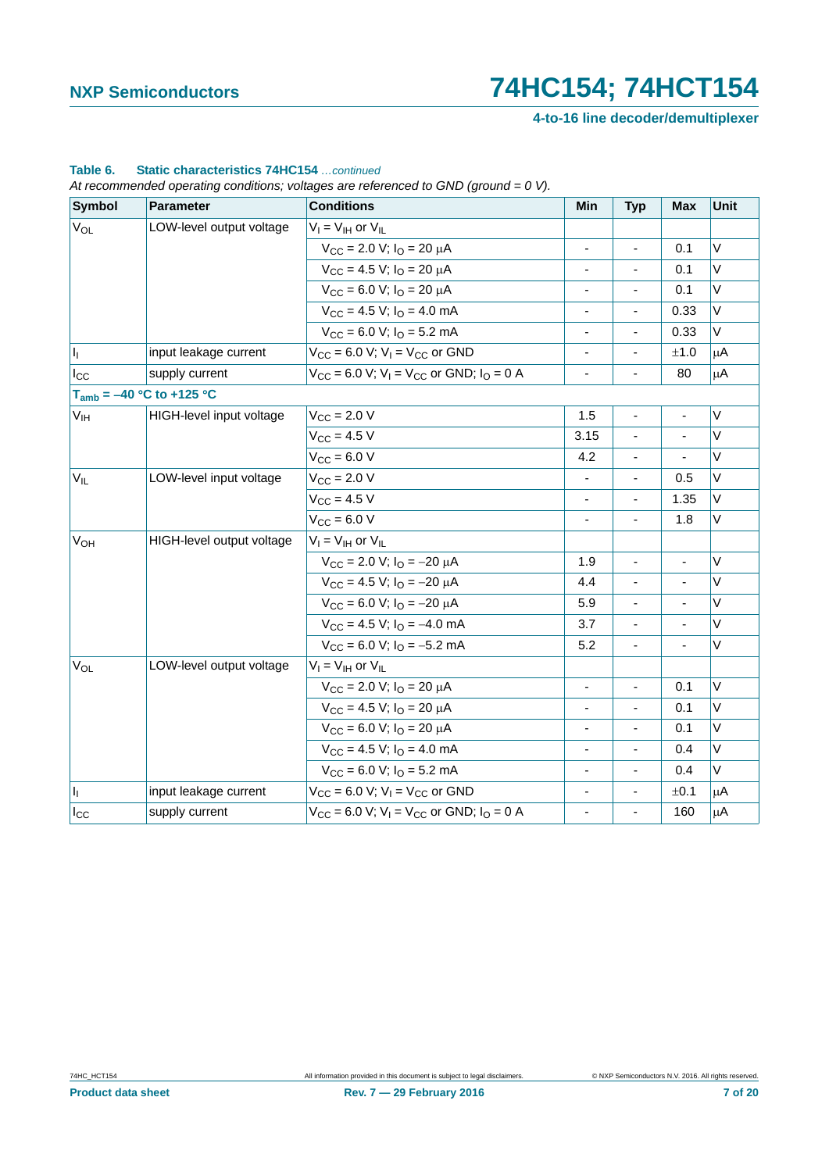**4-to-16 line decoder/demultiplexer**

### **Table 6. Static characteristics 74HC154** *…continued*

*At recommended operating conditions; voltages are referenced to GND (ground = 0 V).*

| <b>Symbol</b>             | <b>Parameter</b>              | <b>Conditions</b>                                                               | Min                          | <b>Typ</b>                   | Max                      | <b>Unit</b> |
|---------------------------|-------------------------------|---------------------------------------------------------------------------------|------------------------------|------------------------------|--------------------------|-------------|
| <b>V<sub>OL</sub></b>     | LOW-level output voltage      | $V_I = V_{IH}$ or $V_{IL}$                                                      |                              |                              |                          |             |
|                           |                               | $V_{\text{CC}} = 2.0 \text{ V}; I_{\text{O}} = 20 \mu\text{A}$                  | $\blacksquare$               | $\blacksquare$               | 0.1                      | V           |
|                           |                               | $V_{\text{CC}} = 4.5$ V; $I_{\text{O}} = 20$ $\mu$ A                            |                              |                              | 0.1                      | V           |
|                           |                               | $V_{\text{CC}} = 6.0 \text{ V}; I_{\text{O}} = 20 \mu\text{A}$                  | $\qquad \qquad \blacksquare$ | $\overline{\phantom{a}}$     | 0.1                      | V           |
|                           |                               | $V_{CC}$ = 4.5 V; $IO$ = 4.0 mA                                                 | $\overline{\phantom{a}}$     | ä,                           | 0.33                     | V           |
|                           |                               | $V_{\text{CC}} = 6.0$ V; $I_{\text{O}} = 5.2$ mA                                | $\qquad \qquad \blacksquare$ | $\overline{\phantom{a}}$     | 0.33                     | V           |
| $\mathbf{I}_{\mathrm{I}}$ | input leakage current         | $V_{CC}$ = 6.0 V; V <sub>1</sub> = V <sub>CC</sub> or GND                       | ä,                           | $\blacksquare$               | ±1.0                     | $\mu$ A     |
| $I_{CC}$                  | supply current                | $V_{CC}$ = 6.0 V; V <sub>1</sub> = V <sub>CC</sub> or GND; I <sub>O</sub> = 0 A | $\blacksquare$               | $\blacksquare$               | 80                       | $\mu$ A     |
|                           | $T_{amb} = -40 °C$ to +125 °C |                                                                                 |                              |                              |                          |             |
| V <sub>IH</sub>           | HIGH-level input voltage      | $V_{CC} = 2.0 V$                                                                | 1.5                          | $\blacksquare$               | $\overline{\phantom{a}}$ | V           |
|                           |                               | $V_{CC}$ = 4.5 V                                                                | 3.15                         | L.                           | ä,                       | V           |
|                           |                               | $V_{CC}$ = 6.0 V                                                                | 4.2                          | $\qquad \qquad \blacksquare$ |                          | V           |
| $V_{IL}$                  | LOW-level input voltage       | $V_{CC}$ = 2.0 V                                                                | $\blacksquare$               | $\blacksquare$               | 0.5                      | V           |
|                           |                               | $V_{CC} = 4.5 V$                                                                | $\overline{\phantom{0}}$     | $\frac{1}{2}$                | 1.35                     | V           |
|                           |                               | $V_{CC} = 6.0 V$                                                                | $\blacksquare$               | $\blacksquare$               | 1.8                      | V           |
| <b>V<sub>OH</sub></b>     | HIGH-level output voltage     | $V_I = V_{IH}$ or $V_{IL}$                                                      |                              |                              |                          |             |
|                           |                               | $V_{CC}$ = 2.0 V; $I_{O}$ = -20 $\mu$ A                                         | 1.9                          | ÷,                           | $\blacksquare$           | Λ           |
|                           |                               | $V_{CC}$ = 4.5 V; $I_{O}$ = -20 $\mu$ A                                         | 4.4                          |                              |                          | V           |
|                           |                               | $V_{\text{CC}} = 6.0 \text{ V}; I_{\text{O}} = -20 \mu \text{A}$                | 5.9                          | $\blacksquare$               | ä,                       | V           |
|                           |                               | $V_{\text{CC}} = 4.5$ V; $I_{\text{O}} = -4.0$ mA                               | 3.7                          | $\frac{1}{2}$                |                          | V           |
|                           |                               | $V_{CC}$ = 6.0 V; $I_{O}$ = -5.2 mA                                             | 5.2                          | ä,                           | $\overline{\phantom{a}}$ | V           |
| $V_{OL}$                  | LOW-level output voltage      | $V_I = V_{IH}$ or $V_{IL}$                                                      |                              |                              |                          |             |
|                           |                               | $V_{\text{CC}}$ = 2.0 V; $I_{\text{O}}$ = 20 $\mu$ A                            | $\blacksquare$               | $\blacksquare$               | 0.1                      | Λ           |
|                           |                               | $V_{\text{CC}} = 4.5 \text{ V}; I_{\text{O}} = 20 \text{ }\mu\text{A}$          |                              | ÷,                           | 0.1                      | $\vee$      |
|                           |                               | $V_{CC}$ = 6.0 V; $I_{O}$ = 20 $\mu$ A                                          | $\blacksquare$               | $\overline{\phantom{a}}$     | 0.1                      | V           |
|                           |                               | $V_{\text{CC}} = 4.5$ V; $I_{\text{O}} = 4.0$ mA                                | $\overline{\phantom{a}}$     | ä,                           | 0.4                      | V           |
|                           |                               | $V_{\text{CC}}$ = 6.0 V; $I_{\text{O}}$ = 5.2 mA                                | $\overline{\phantom{a}}$     | $\blacksquare$               | 0.4                      | V           |
| $\vert I_1 \vert$         | input leakage current         | $V_{CC}$ = 6.0 V; V <sub>1</sub> = V <sub>CC</sub> or GND                       |                              |                              | ±0.1                     | μA          |
| $I_{\rm CC}$              | supply current                | $V_{CC}$ = 6.0 V; V <sub>1</sub> = V <sub>CC</sub> or GND; I <sub>O</sub> = 0 A | $\blacksquare$               | $\overline{\phantom{0}}$     | 160                      | μA          |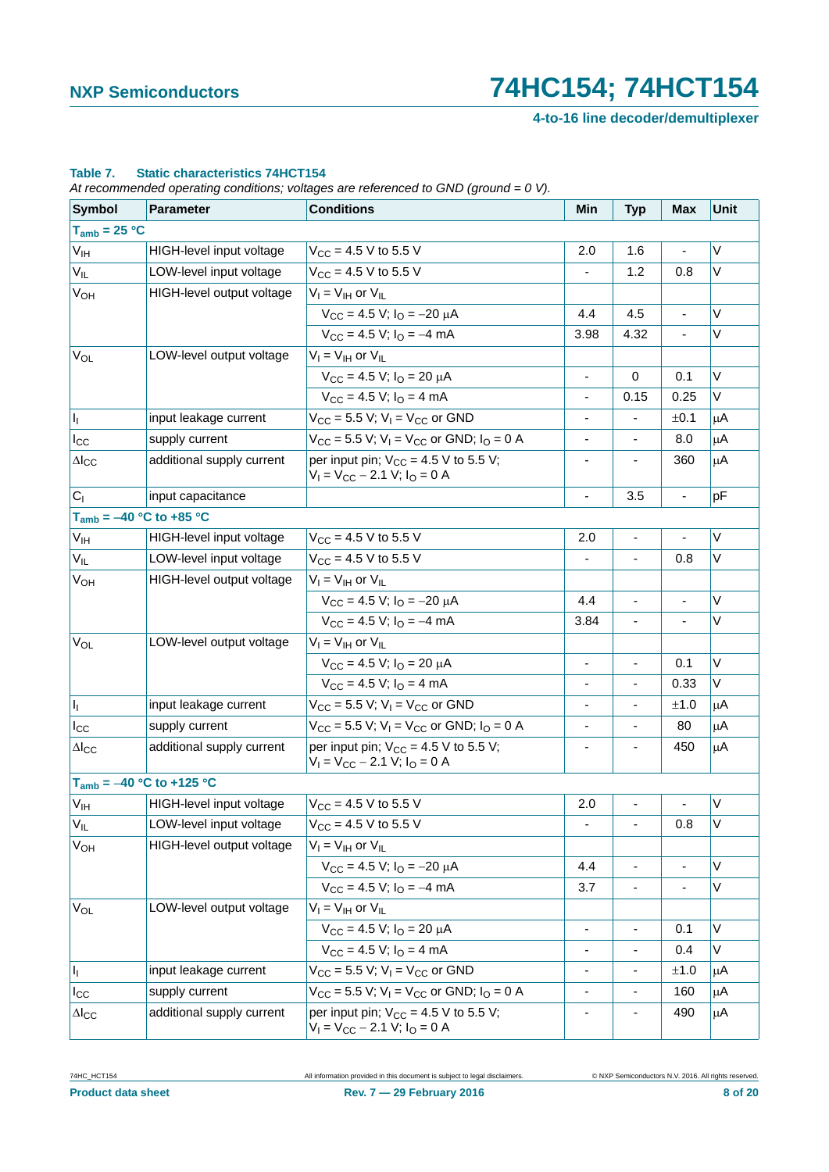**4-to-16 line decoder/demultiplexer**

### **Table 7. Static characteristics 74HCT154**

*At recommended operating conditions; voltages are referenced to GND (ground = 0 V).*

| <b>Symbol</b>                 | Parameter                 | $\prime$<br><b>Conditions</b>                                                     | Min                      | <b>Typ</b>               | <b>Max</b>     | Unit    |
|-------------------------------|---------------------------|-----------------------------------------------------------------------------------|--------------------------|--------------------------|----------------|---------|
| $T_{amb}$ = 25 °C             |                           |                                                                                   |                          |                          |                |         |
| V <sub>IH</sub>               | HIGH-level input voltage  | $V_{CC}$ = 4.5 V to 5.5 V                                                         | 2.0                      | 1.6                      |                | V       |
| $V_{IL}$                      | LOW-level input voltage   | $V_{CC}$ = 4.5 V to 5.5 V                                                         | $\overline{\phantom{a}}$ | 1.2                      | 0.8            | Λ       |
| $V_{OH}$                      | HIGH-level output voltage | $V_I = V_{IH}$ or $V_{IL}$                                                        |                          |                          |                |         |
|                               |                           | $V_{CC}$ = 4.5 V; $I_{O}$ = -20 $\mu$ A                                           | 4.4                      | 4.5                      | $\overline{a}$ | V       |
|                               |                           | $V_{CC}$ = 4.5 V; $I_{O}$ = -4 mA                                                 | 3.98                     | 4.32                     | ÷,             | V       |
| $V_{OL}$                      | LOW-level output voltage  | $V_I = V_{IH}$ or $V_{IL}$                                                        |                          |                          |                |         |
|                               |                           | $V_{CC}$ = 4.5 V; $I_{O}$ = 20 $\mu$ A                                            | $\blacksquare$           | $\mathbf 0$              | 0.1            | V       |
|                               |                           | $V_{CC}$ = 4.5 V; $I_{O}$ = 4 mA                                                  | $\overline{\phantom{a}}$ | 0.15                     | 0.25           | V       |
| $\vert I_1 \vert$             | input leakage current     | $V_{CC}$ = 5.5 V; V <sub>I</sub> = V <sub>CC</sub> or GND                         |                          |                          | ±0.1           | $\mu$ A |
| $I_{\rm CC}$                  | supply current            | $V_{CC}$ = 5.5 V; V <sub>I</sub> = V <sub>CC</sub> or GND; I <sub>O</sub> = 0 A   | $\overline{\phantom{a}}$ | $\overline{\phantom{a}}$ | 8.0            | μA      |
| $\Delta I_{CC}$               | additional supply current | per input pin; $V_{CC} = 4.5 V$ to 5.5 V;<br>$V_1 = V_{CC} - 2.1 V$ ; $I_0 = 0 A$ |                          |                          | 360            | μA      |
| C <sub>1</sub>                | input capacitance         |                                                                                   | $\overline{\phantom{a}}$ | 3.5                      | ÷,             | pF      |
| $T_{amb} = -40 °C$ to +85 °C  |                           |                                                                                   |                          |                          |                |         |
| $V_{\rm IH}$                  | HIGH-level input voltage  | $V_{\rm CC}$ = 4.5 V to 5.5 V                                                     | 2.0                      | $\blacksquare$           |                | Λ       |
| $V_{IL}$                      | LOW-level input voltage   | $V_{CC}$ = 4.5 V to 5.5 V                                                         | $\blacksquare$           | $\blacksquare$           | 0.8            | V       |
| <b>V<sub>OH</sub></b>         | HIGH-level output voltage | $V_I = V_{IH}$ or $V_{IL}$                                                        |                          |                          |                |         |
|                               |                           | $V_{CC} = 4.5 V$ ; $I_{O} = -20 \mu A$                                            | 4.4                      | $\blacksquare$           |                | V       |
|                               |                           | $V_{CC}$ = 4.5 V; $I_{O}$ = -4 mA                                                 | 3.84                     |                          |                | V       |
| $V_{OL}$                      | LOW-level output voltage  | $V_I = V_{IH}$ or $V_{IL}$                                                        |                          |                          |                |         |
|                               |                           | $V_{CC}$ = 4.5 V; $I_{O}$ = 20 $\mu$ A                                            | $\overline{\phantom{a}}$ | $\blacksquare$           | 0.1            | V       |
|                               |                           | $V_{CC}$ = 4.5 V; $I_{O}$ = 4 mA                                                  | $\overline{\phantom{a}}$ | $\blacksquare$           | 0.33           | V       |
| h.                            | input leakage current     | $V_{CC}$ = 5.5 V; V <sub>I</sub> = V <sub>CC</sub> or GND                         |                          |                          | ±1.0           | $\mu$ A |
| $I_{\rm CC}$                  | supply current            | $V_{CC}$ = 5.5 V; V <sub>I</sub> = V <sub>CC</sub> or GND; I <sub>O</sub> = 0 A   |                          |                          | 80             | μA      |
| $\Delta$ <sub>cc</sub>        | additional supply current | per input pin; $V_{CC} = 4.5 V$ to 5.5 V;<br>$V_1 = V_{CC} - 2.1$ V; $I_0 = 0$ A  | $\overline{\phantom{a}}$ | $\overline{\phantom{a}}$ | 450            | μA      |
| $T_{amb} = -40 °C$ to +125 °C |                           |                                                                                   |                          |                          |                |         |
| V <sub>IH</sub>               | HIGH-level input voltage  | $V_{CC}$ = 4.5 V to 5.5 V                                                         | 2.0                      |                          |                | V       |
| $V_{IL}$                      | LOW-level input voltage   | $V_{CC}$ = 4.5 V to 5.5 V                                                         |                          | $\overline{\phantom{a}}$ | 0.8            | V       |
| $V_{OH}$                      | HIGH-level output voltage | $V_I = V_{IH}$ or $V_{IL}$                                                        |                          |                          |                |         |
|                               |                           | $V_{\text{CC}} = 4.5 \text{ V}; I_{\text{O}} = -20 \mu \text{A}$                  | 4.4                      | $\blacksquare$           |                | V       |
|                               |                           | $V_{CC}$ = 4.5 V; $I_{O}$ = -4 mA                                                 | 3.7                      |                          |                | V       |
| $V_{OL}$                      | LOW-level output voltage  | $V_I = V_{IH}$ or $V_{II}$                                                        |                          |                          |                |         |
|                               |                           | $V_{\text{CC}} = 4.5$ V; $I_{\text{O}} = 20$ $\mu$ A                              | $\overline{\phantom{a}}$ |                          | 0.1            | V       |
|                               |                           | $V_{CC}$ = 4.5 V; $I_{O}$ = 4 mA                                                  | $\overline{\phantom{a}}$ | ۰                        | 0.4            | V       |
| h,                            | input leakage current     | $V_{CC}$ = 5.5 V; V <sub>1</sub> = V <sub>CC</sub> or GND                         | $\overline{\phantom{a}}$ |                          | ±1.0           | μA      |
| $I_{\rm CC}$                  | supply current            | $V_{CC}$ = 5.5 V; V <sub>1</sub> = V <sub>CC</sub> or GND; I <sub>O</sub> = 0 A   | $\overline{\phantom{a}}$ | $\overline{\phantom{a}}$ | 160            | μA      |
| $\Delta I_{CC}$               | additional supply current | per input pin; $V_{CC} = 4.5 V$ to 5.5 V;<br>$V_1 = V_{CC} - 2.1 V$ ; $I_0 = 0 A$ |                          |                          | 490            | μA      |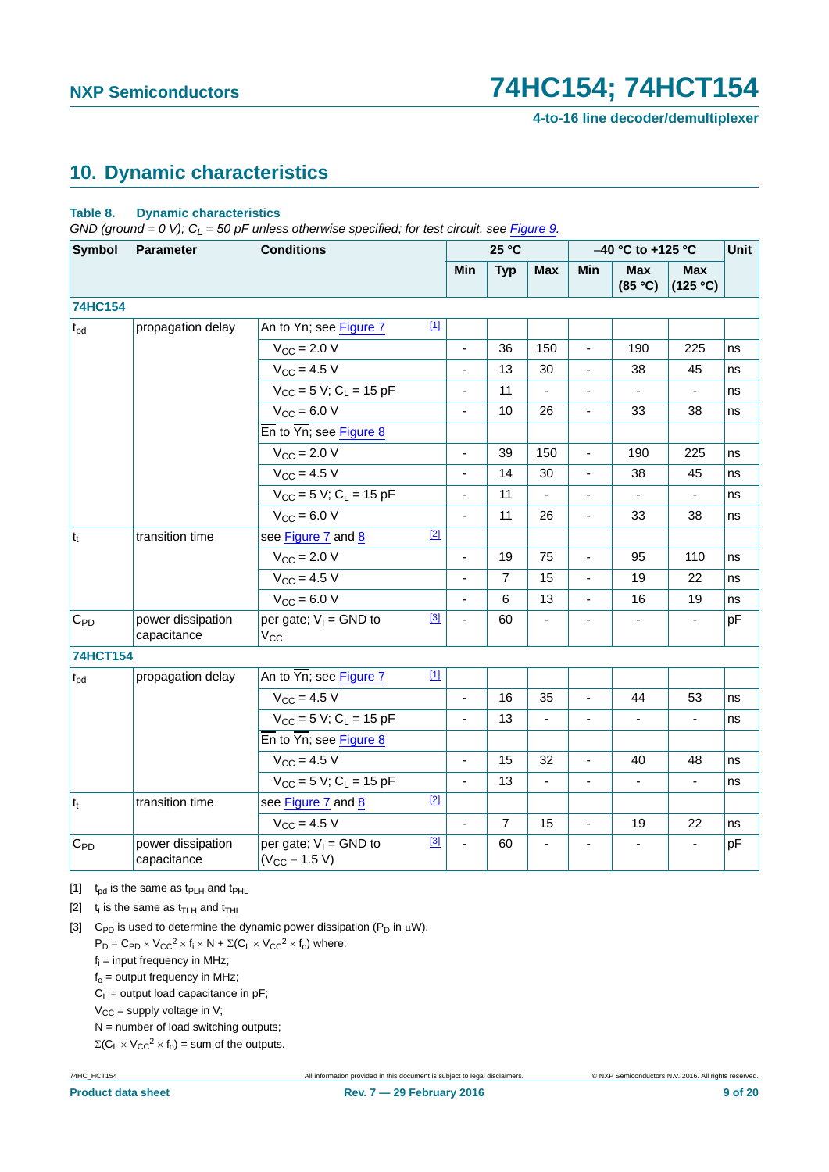# <span id="page-8-3"></span>**10. Dynamic characteristics**

### **Table 8. Dynamic characteristics**

 $GND$  (ground = 0 V);  $C_l$  = 50 pF unless otherwise specified; for test circuit, see [Figure 9.](#page-10-0)

| <b>Symbol</b>   | <b>Parameter</b>                 | <b>Conditions</b>                                               |                          | 25 °C          |                          | -40 °C to +125 °C        | Unit                  |                          |    |
|-----------------|----------------------------------|-----------------------------------------------------------------|--------------------------|----------------|--------------------------|--------------------------|-----------------------|--------------------------|----|
|                 |                                  |                                                                 | Min                      | <b>Typ</b>     | <b>Max</b>               | <b>Min</b>               | <b>Max</b><br>(85 °C) | <b>Max</b><br>(125 °C)   |    |
| <b>74HC154</b>  |                                  |                                                                 |                          |                |                          |                          |                       |                          |    |
| $t_{\rm pd}$    | propagation delay                | $[1]$<br>An to Yn; see Figure 7                                 |                          |                |                          |                          |                       |                          |    |
|                 |                                  | $V_{CC}$ = 2.0 V                                                |                          | 36             | 150                      | ä,                       | 190                   | 225                      | ns |
|                 |                                  | $V_{CC} = 4.5 V$                                                | $\overline{\phantom{a}}$ | 13             | 30                       | $\blacksquare$           | 38                    | 45                       | ns |
|                 |                                  | $V_{CC}$ = 5 V; C <sub>L</sub> = 15 pF                          |                          | 11             |                          | ä,                       |                       |                          | ns |
|                 |                                  | $V_{CC} = 6.0 V$                                                | $\overline{\phantom{a}}$ | 10             | 26                       | $\blacksquare$           | 33                    | 38                       | ns |
|                 |                                  | $\overline{En}$ to $\overline{Yn}$ ; see Figure 8               |                          |                |                          |                          |                       |                          |    |
|                 |                                  | $V_{\text{CC}} = 2.0 V$                                         | $\blacksquare$           | 39             | 150                      | $\blacksquare$           | 190                   | 225                      | ns |
|                 |                                  | $V_{CC} = 4.5 V$                                                | $\blacksquare$           | 14             | 30                       | ä,                       | 38                    | 45                       | ns |
|                 |                                  | $V_{CC}$ = 5 V; C <sub>L</sub> = 15 pF                          | $\overline{\phantom{a}}$ | 11             |                          | $\blacksquare$           |                       | $\overline{\phantom{a}}$ | ns |
|                 |                                  | $V_{CC}$ = 6.0 V                                                | $\overline{\phantom{a}}$ | 11             | 26                       | $\blacksquare$           | 33                    | 38                       | ns |
| $ t_t $         | transition time                  | $[2]$<br>see Figure 7 and 8                                     |                          |                |                          |                          |                       |                          |    |
|                 |                                  | $V_{\text{CC}} = 2.0 V$                                         | $\overline{\phantom{a}}$ | 19             | 75                       | $\blacksquare$           | 95                    | 110                      | ns |
|                 |                                  | $V_{CC} = 4.5 V$                                                | $\frac{1}{2}$            | $\overline{7}$ | 15                       | $\blacksquare$           | 19                    | 22                       | ns |
|                 |                                  | $V_{CC} = 6.0 V$                                                |                          | 6              | 13                       | $\blacksquare$           | 16                    | 19                       | ns |
| $C_{PD}$        | power dissipation<br>capacitance | $[3]$<br>per gate; $V_1 =$ GND to<br>$V_{CC}$                   |                          | 60             |                          | $\overline{\phantom{a}}$ |                       |                          | pF |
| <b>74HCT154</b> |                                  |                                                                 |                          |                |                          |                          |                       |                          |    |
| $t_{pd}$        | propagation delay                | An to Yn; see Figure 7<br>$[1]$                                 |                          |                |                          |                          |                       |                          |    |
|                 |                                  | $V_{CC}$ = 4.5 V                                                | $\blacksquare$           | 16             | 35                       | $\blacksquare$           | 44                    | 53                       | ns |
|                 |                                  | $V_{CC}$ = 5 V; C <sub>L</sub> = 15 pF                          |                          | 13             |                          | $\overline{a}$           |                       |                          | ns |
|                 |                                  | $\overline{\text{En}}$ to $\overline{\text{Yn}}$ ; see Figure 8 |                          |                |                          |                          |                       |                          |    |
|                 |                                  | $V_{CC} = 4.5 V$                                                |                          | 15             | 32                       | $\overline{a}$           | 40                    | 48                       | ns |
|                 |                                  | $V_{CC}$ = 5 V; C <sub>L</sub> = 15 pF                          | $\blacksquare$           | 13             | $\overline{\phantom{a}}$ | $\blacksquare$           | $\blacksquare$        | ä,                       | ns |
| $t_{t}$         | transition time                  | $[2]$<br>see Figure 7 and 8                                     |                          |                |                          |                          |                       |                          |    |
|                 |                                  | $V_{\text{CC}} = 4.5 V$                                         | $\overline{\phantom{a}}$ | $\overline{7}$ | 15                       | $\blacksquare$           | 19                    | 22                       | ns |
| $C_{PD}$        | power dissipation<br>capacitance | $[3]$<br>per gate; $V_1 =$ GND to<br>$(V_{CC} - 1.5 V)$         |                          | 60             |                          |                          |                       |                          | pF |

<span id="page-8-0"></span>[1]  $t_{pd}$  is the same as  $t_{PLH}$  and  $t_{PHL}$ 

<span id="page-8-1"></span>[2]  $t_t$  is the same as  $t_{\text{TLH}}$  and  $t_{\text{THL}}$ 

<span id="page-8-2"></span>[3] C<sub>PD</sub> is used to determine the dynamic power dissipation ( $P_D$  in  $\mu$ W).  $P_D = C_{PD} \times V_{CC}^2 \times f_i \times N + \Sigma (C_L \times V_{CC}^2 \times f_o)$  where:

 $f_i$  = input frequency in MHz;

 $f_0$  = output frequency in MHz;

 $C_L$  = output load capacitance in pF;

 $V_{CC}$  = supply voltage in V;

 $N =$  number of load switching outputs;

 $\Sigma(C_L \times V_{CC}^2 \times f_0) =$  sum of the outputs.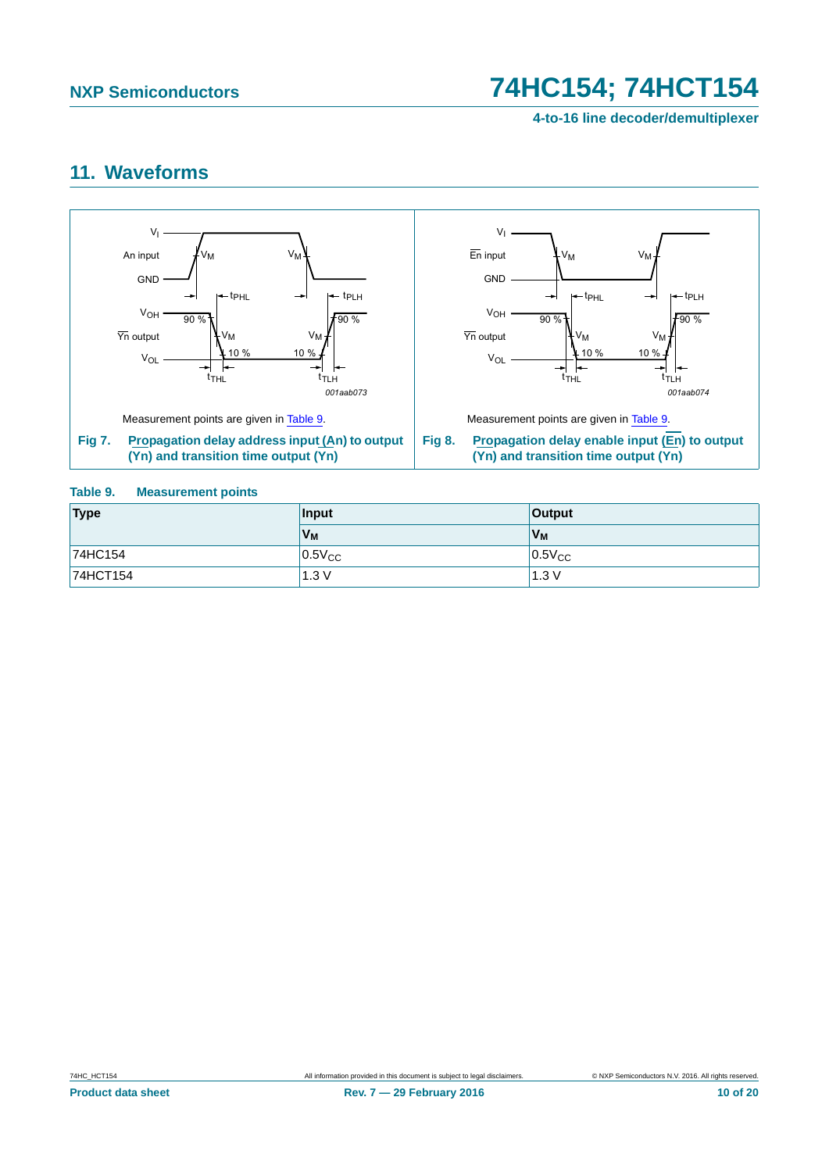## <span id="page-9-3"></span>**11. Waveforms**



### <span id="page-9-2"></span><span id="page-9-1"></span><span id="page-9-0"></span>**Table 9. Measurement points**

| Type     | Input       | <b>Output</b> |
|----------|-------------|---------------|
|          | $V_M$       | $V_M$         |
| 74HC154  | $0.5V_{CC}$ | $0.5V_{CC}$   |
| 74HCT154 | 1.3V        | 1.3V          |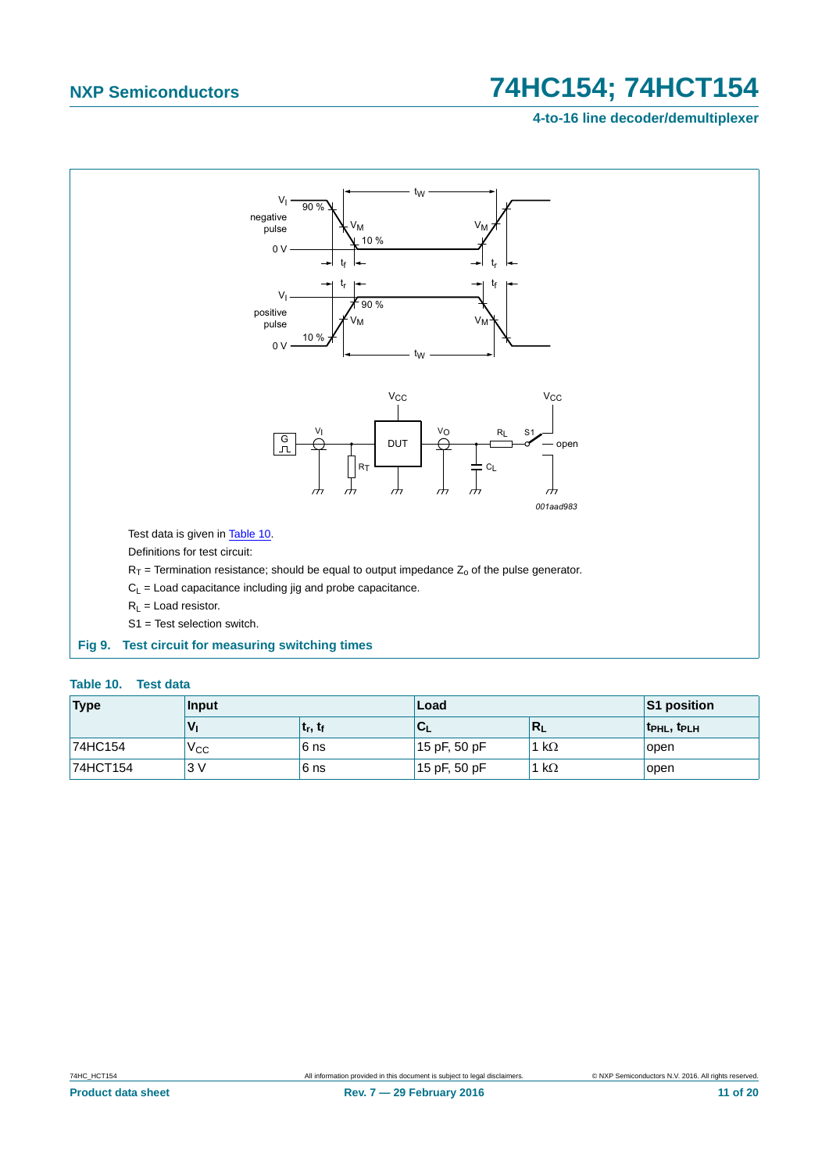## **4-to-16 line decoder/demultiplexer**



#### <span id="page-10-1"></span><span id="page-10-0"></span>**Table 10. Test data**

| <b>Type</b> | Input           |                                   | Load         | S1 position             |                   |  |  |
|-------------|-----------------|-----------------------------------|--------------|-------------------------|-------------------|--|--|
|             | 'V <sub>I</sub> | ∣ t <sub>r</sub> , t <sub>f</sub> | ั∪∟          | $\mathbb{R}_\mathsf{L}$ | <b>TPHL, TPLH</b> |  |  |
| 74HC154     | $V_{\rm CC}$    | 6 ns                              | 15 pF, 50 pF | 1 kΩ                    | open              |  |  |
| 74HCT154    | 3V              | 6 ns                              | 15 pF, 50 pF | 1 kΩ                    | open              |  |  |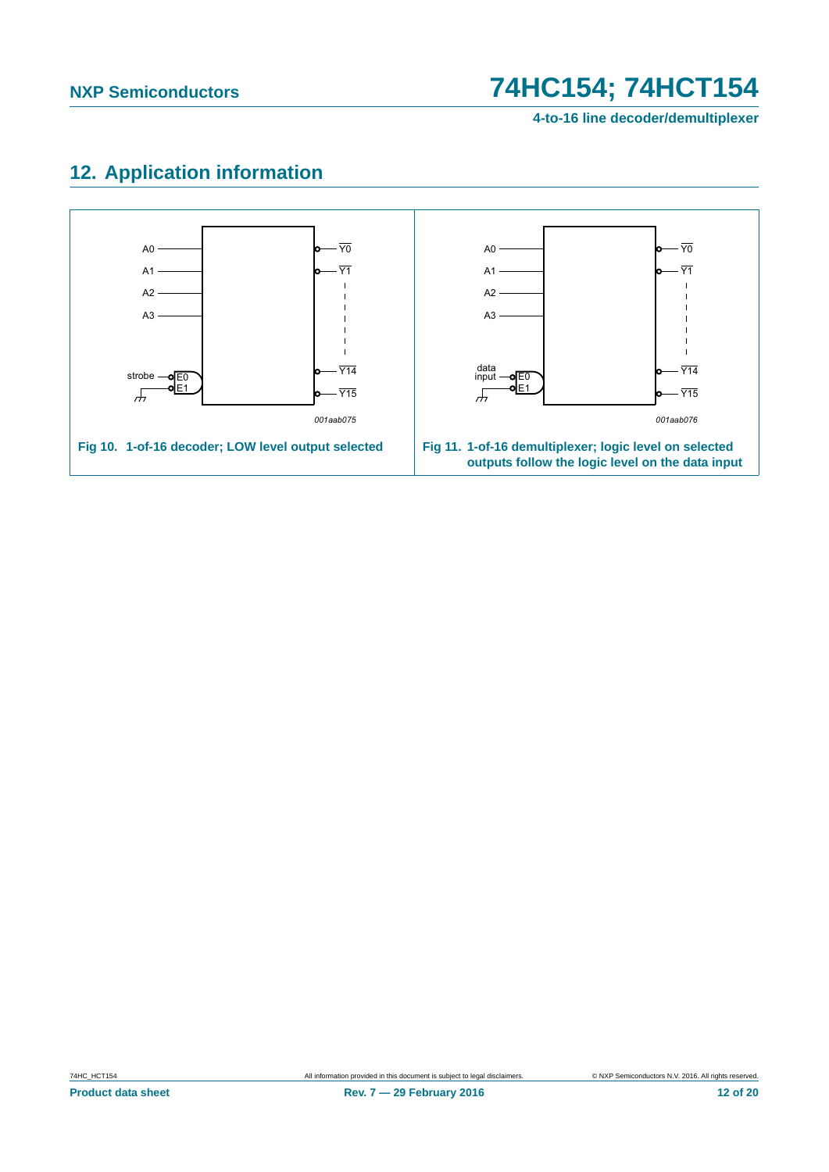# <span id="page-11-0"></span>**12. Application information**

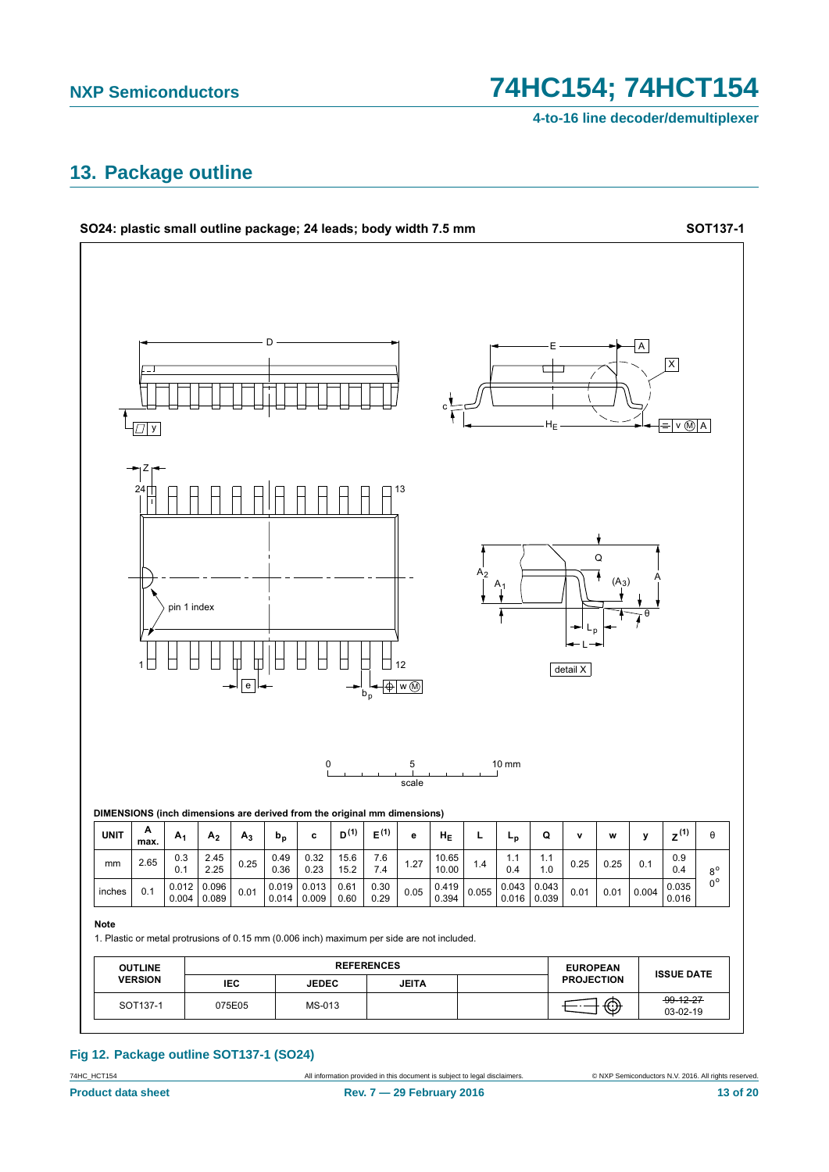4-to-16 line decoder/demultiplexer

## <span id="page-12-0"></span>13. Package outline



#### Fig 12. Package outline SOT137-1 (SO24)

74HC\_HCT154 **Product data sheet**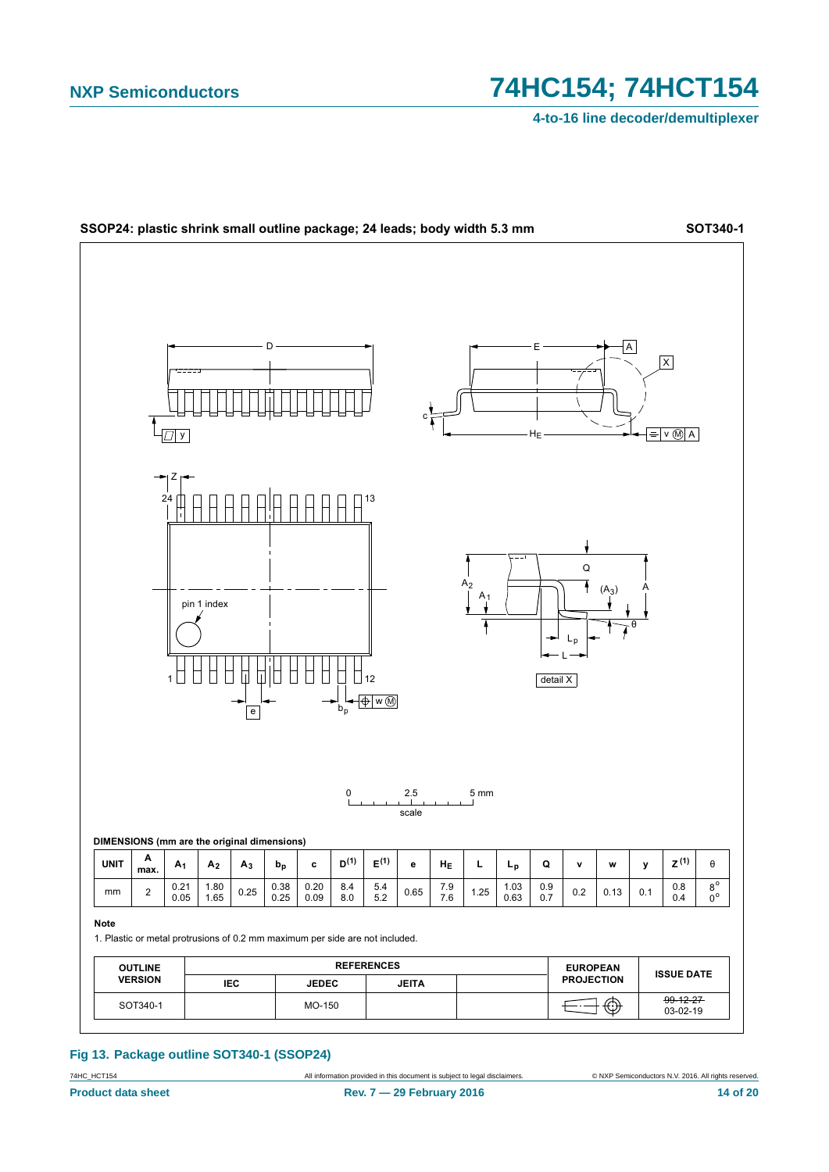4-to-16 line decoder/demultiplexer



#### Fig 13. Package outline SOT340-1 (SSOP24)

74HC\_HCT154 **Product data sheet**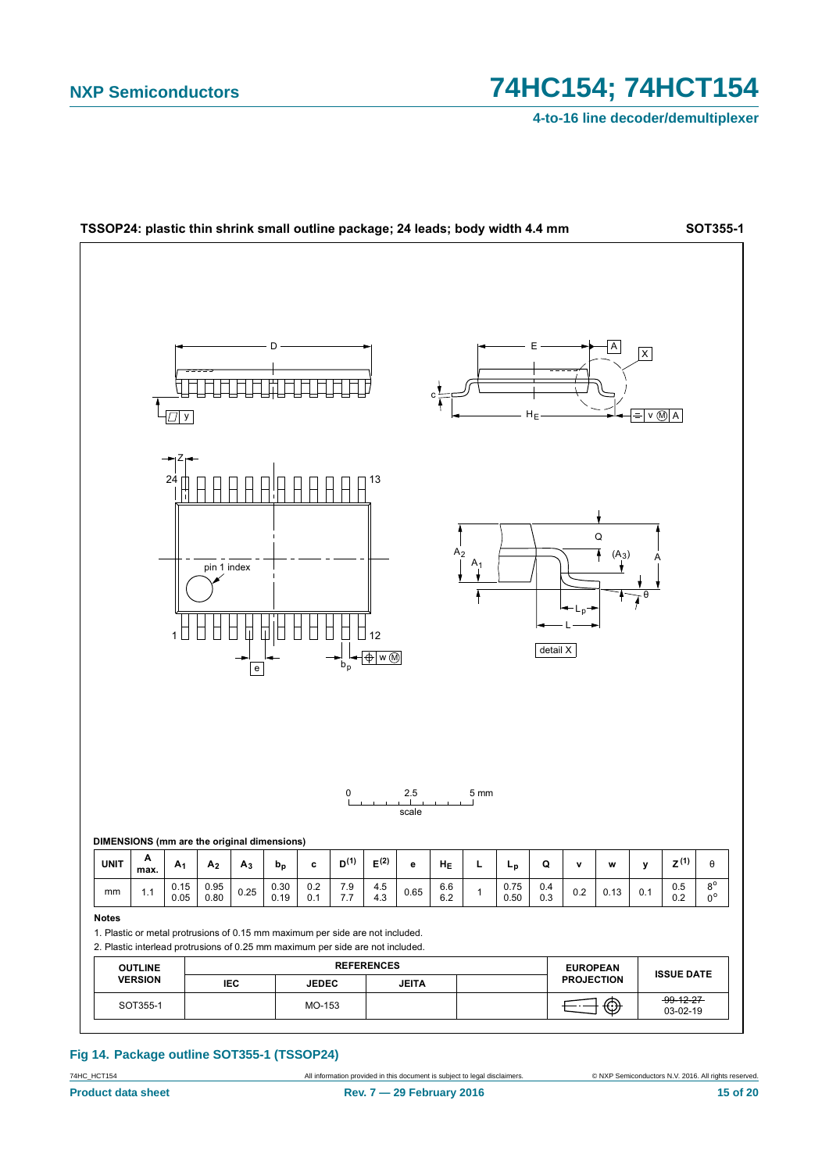4-to-16 line decoder/demultiplexer



#### Fig 14. Package outline SOT355-1 (TSSOP24)

74HC\_HCT154 **Product data sheet**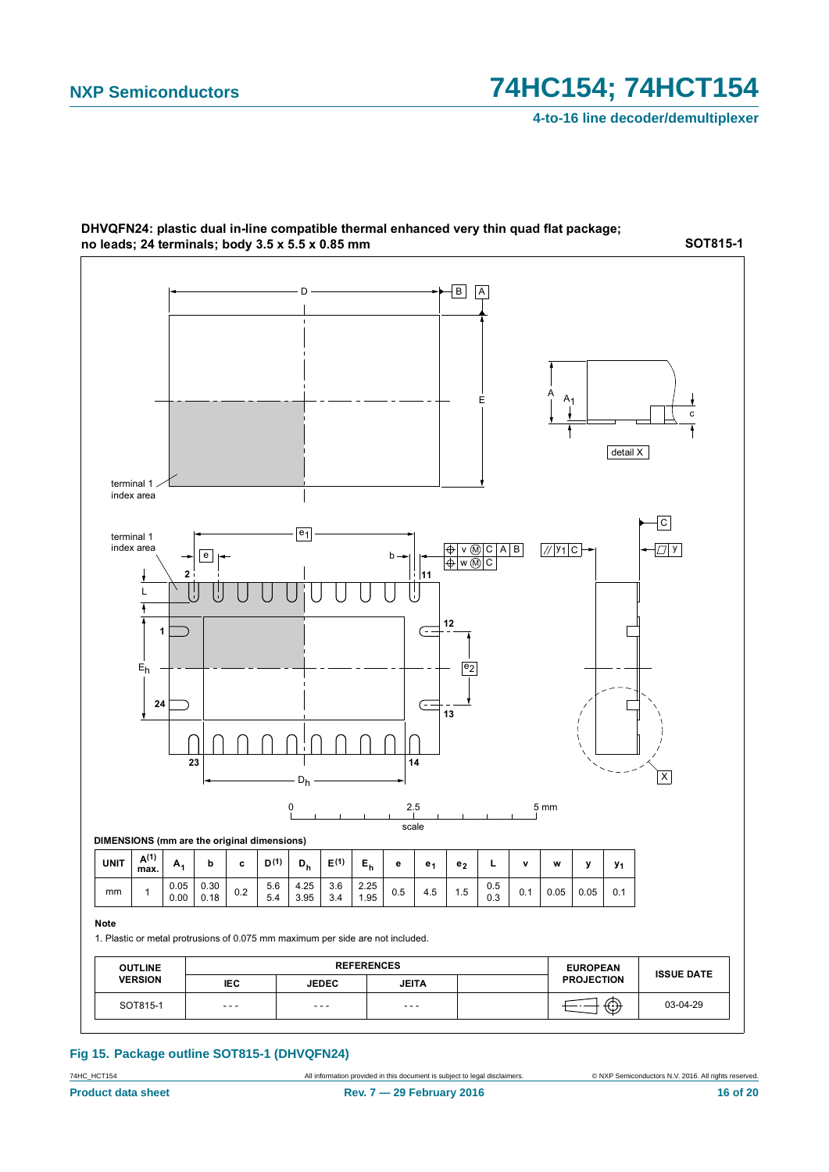

DHVQFN24: plastic dual in-line compatible thermal enhanced very thin quad flat package; no leads; 24 terminals; body 3.5 x 5.5 x 0.85 mm

### **Fig 15. Package outline SOT815-1 (DHVQFN24)**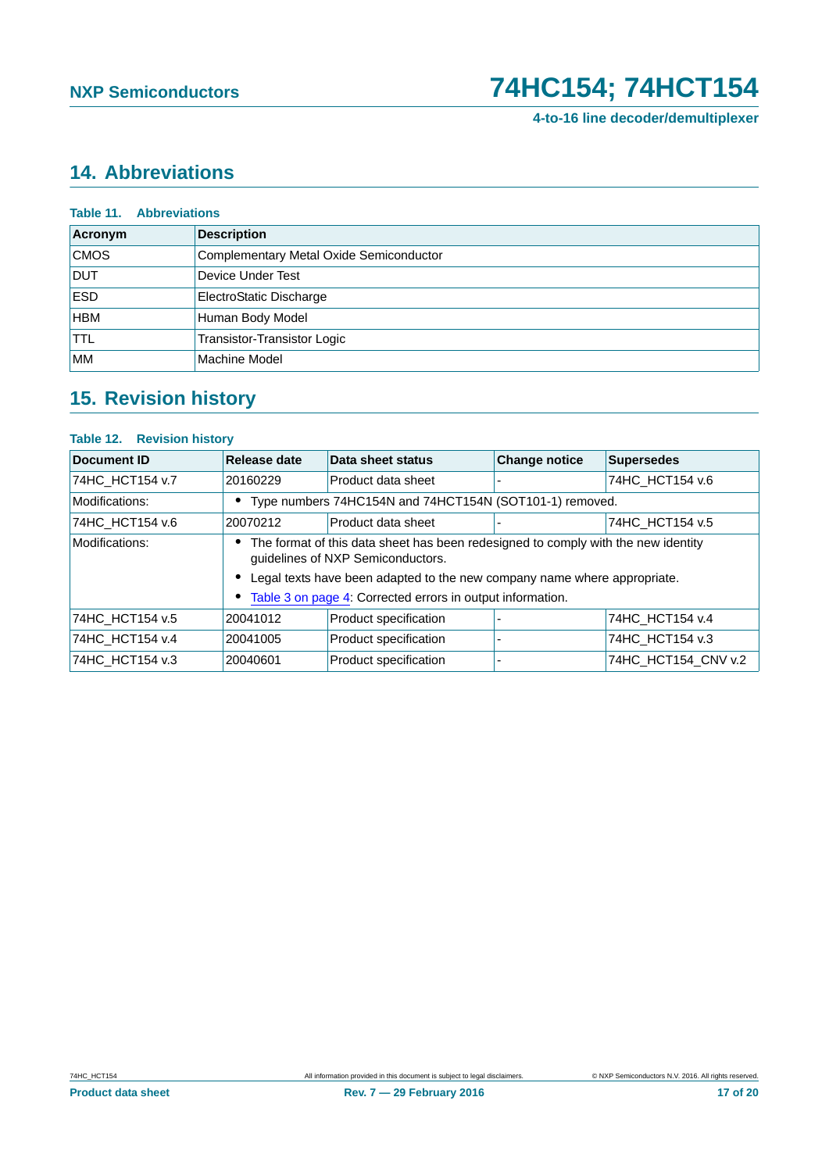## <span id="page-16-0"></span>**14. Abbreviations**

| <b>Table 11. Abbreviations</b> |                                         |  |  |  |  |  |
|--------------------------------|-----------------------------------------|--|--|--|--|--|
| Acronym                        | <b>Description</b>                      |  |  |  |  |  |
| <b>CMOS</b>                    | Complementary Metal Oxide Semiconductor |  |  |  |  |  |
| <b>DUT</b>                     | Device Under Test                       |  |  |  |  |  |
| <b>ESD</b>                     | ElectroStatic Discharge                 |  |  |  |  |  |
| <b>HBM</b>                     | Human Body Model                        |  |  |  |  |  |
| <b>TTL</b>                     | Transistor-Transistor Logic             |  |  |  |  |  |
| МM                             | Machine Model                           |  |  |  |  |  |

# <span id="page-16-1"></span>**15. Revision history**

### **Table 12. Revision history**

| <b>Document ID</b> | <b>Release date</b>                                                                                                                                                                                                                                                    | Data sheet status     | <b>Change notice</b> | <b>Supersedes</b>   |
|--------------------|------------------------------------------------------------------------------------------------------------------------------------------------------------------------------------------------------------------------------------------------------------------------|-----------------------|----------------------|---------------------|
| 74HC_HCT154 v.7    | 20160229                                                                                                                                                                                                                                                               | Product data sheet    |                      | 74HC HCT154 v.6     |
| Modifications:     | • Type numbers 74HC154N and 74HCT154N (SOT101-1) removed.                                                                                                                                                                                                              |                       |                      |                     |
| 74HC HCT154 v.6    | 20070212                                                                                                                                                                                                                                                               | Product data sheet    |                      | 74HC HCT154 v.5     |
| Modifications:     | • The format of this data sheet has been redesigned to comply with the new identity<br>guidelines of NXP Semiconductors.<br>• Legal texts have been adapted to the new company name where appropriate.<br>• Table 3 on page 4: Corrected errors in output information. |                       |                      |                     |
| 74HC HCT154 v.5    | 20041012                                                                                                                                                                                                                                                               | Product specification |                      | 74HC HCT154 v.4     |
| 74HC_HCT154 v.4    | 20041005                                                                                                                                                                                                                                                               | Product specification |                      | 74HC HCT154 v.3     |
| 74HC HCT154 v.3    | 20040601                                                                                                                                                                                                                                                               | Product specification |                      | 74HC HCT154 CNV v.2 |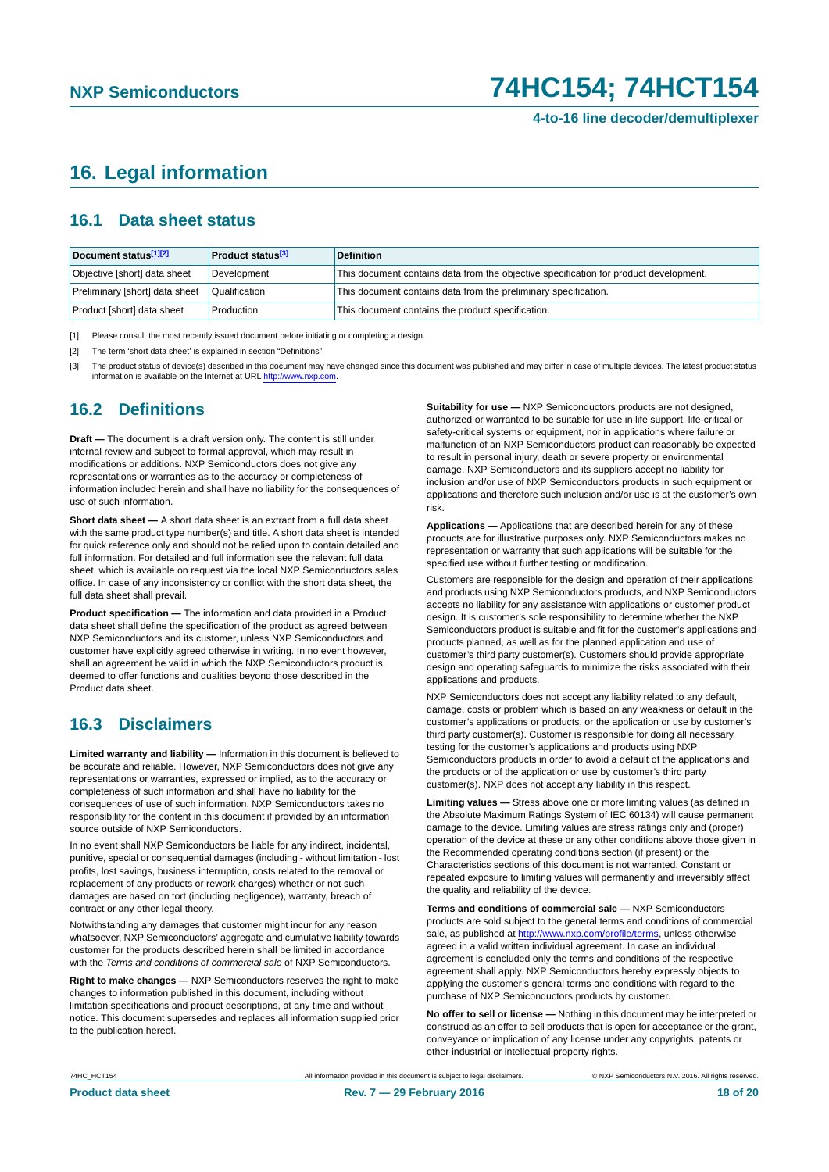# <span id="page-17-3"></span>**16. Legal information**

## <span id="page-17-4"></span>**16.1 Data sheet status**

| Document status[1][2]          | <b>Product status</b> <sup>[3]</sup> | <b>Definition</b>                                                                     |
|--------------------------------|--------------------------------------|---------------------------------------------------------------------------------------|
| Objective [short] data sheet   | Development                          | This document contains data from the objective specification for product development. |
| Preliminary [short] data sheet | Qualification                        | This document contains data from the preliminary specification.                       |
| Product [short] data sheet     | Production                           | This document contains the product specification.                                     |

<span id="page-17-0"></span>[1] Please consult the most recently issued document before initiating or completing a design.

- <span id="page-17-1"></span>[2] The term 'short data sheet' is explained in section "Definitions".
- <span id="page-17-2"></span>[3] The product status of device(s) described in this document may have changed since this document was published and may differ in case of multiple devices. The latest product status information is available on the Internet at URL <http://www.nxp.com>.

## <span id="page-17-5"></span>**16.2 Definitions**

**Draft —** The document is a draft version only. The content is still under internal review and subject to formal approval, which may result in modifications or additions. NXP Semiconductors does not give any representations or warranties as to the accuracy or completeness of information included herein and shall have no liability for the consequences of use of such information.

**Short data sheet —** A short data sheet is an extract from a full data sheet with the same product type number(s) and title. A short data sheet is intended for quick reference only and should not be relied upon to contain detailed and full information. For detailed and full information see the relevant full data sheet, which is available on request via the local NXP Semiconductors sales office. In case of any inconsistency or conflict with the short data sheet, the full data sheet shall prevail.

**Product specification —** The information and data provided in a Product data sheet shall define the specification of the product as agreed between NXP Semiconductors and its customer, unless NXP Semiconductors and customer have explicitly agreed otherwise in writing. In no event however, shall an agreement be valid in which the NXP Semiconductors product is deemed to offer functions and qualities beyond those described in the Product data sheet.

## <span id="page-17-6"></span>**16.3 Disclaimers**

**Limited warranty and liability —** Information in this document is believed to be accurate and reliable. However, NXP Semiconductors does not give any representations or warranties, expressed or implied, as to the accuracy or completeness of such information and shall have no liability for the consequences of use of such information. NXP Semiconductors takes no responsibility for the content in this document if provided by an information source outside of NXP Semiconductors.

In no event shall NXP Semiconductors be liable for any indirect, incidental, punitive, special or consequential damages (including - without limitation - lost profits, lost savings, business interruption, costs related to the removal or replacement of any products or rework charges) whether or not such damages are based on tort (including negligence), warranty, breach of contract or any other legal theory.

Notwithstanding any damages that customer might incur for any reason whatsoever, NXP Semiconductors' aggregate and cumulative liability towards customer for the products described herein shall be limited in accordance with the *Terms and conditions of commercial sale* of NXP Semiconductors.

**Right to make changes —** NXP Semiconductors reserves the right to make changes to information published in this document, including without limitation specifications and product descriptions, at any time and without notice. This document supersedes and replaces all information supplied prior to the publication hereof.

**Suitability for use —** NXP Semiconductors products are not designed, authorized or warranted to be suitable for use in life support, life-critical or safety-critical systems or equipment, nor in applications where failure or malfunction of an NXP Semiconductors product can reasonably be expected to result in personal injury, death or severe property or environmental damage. NXP Semiconductors and its suppliers accept no liability for inclusion and/or use of NXP Semiconductors products in such equipment or applications and therefore such inclusion and/or use is at the customer's own risk.

**Applications —** Applications that are described herein for any of these products are for illustrative purposes only. NXP Semiconductors makes no representation or warranty that such applications will be suitable for the specified use without further testing or modification.

Customers are responsible for the design and operation of their applications and products using NXP Semiconductors products, and NXP Semiconductors accepts no liability for any assistance with applications or customer product design. It is customer's sole responsibility to determine whether the NXP Semiconductors product is suitable and fit for the customer's applications and products planned, as well as for the planned application and use of customer's third party customer(s). Customers should provide appropriate design and operating safeguards to minimize the risks associated with their applications and products.

NXP Semiconductors does not accept any liability related to any default, damage, costs or problem which is based on any weakness or default in the customer's applications or products, or the application or use by customer's third party customer(s). Customer is responsible for doing all necessary testing for the customer's applications and products using NXP Semiconductors products in order to avoid a default of the applications and the products or of the application or use by customer's third party customer(s). NXP does not accept any liability in this respect.

**Limiting values —** Stress above one or more limiting values (as defined in the Absolute Maximum Ratings System of IEC 60134) will cause permanent damage to the device. Limiting values are stress ratings only and (proper) operation of the device at these or any other conditions above those given in the Recommended operating conditions section (if present) or the Characteristics sections of this document is not warranted. Constant or repeated exposure to limiting values will permanently and irreversibly affect the quality and reliability of the device.

**Terms and conditions of commercial sale —** NXP Semiconductors products are sold subject to the general terms and conditions of commercial sale, as published at<http://www.nxp.com/profile/terms>, unless otherwise agreed in a valid written individual agreement. In case an individual agreement is concluded only the terms and conditions of the respective agreement shall apply. NXP Semiconductors hereby expressly objects to applying the customer's general terms and conditions with regard to the purchase of NXP Semiconductors products by customer.

**No offer to sell or license —** Nothing in this document may be interpreted or construed as an offer to sell products that is open for acceptance or the grant, conveyance or implication of any license under any copyrights, patents or other industrial or intellectual property rights.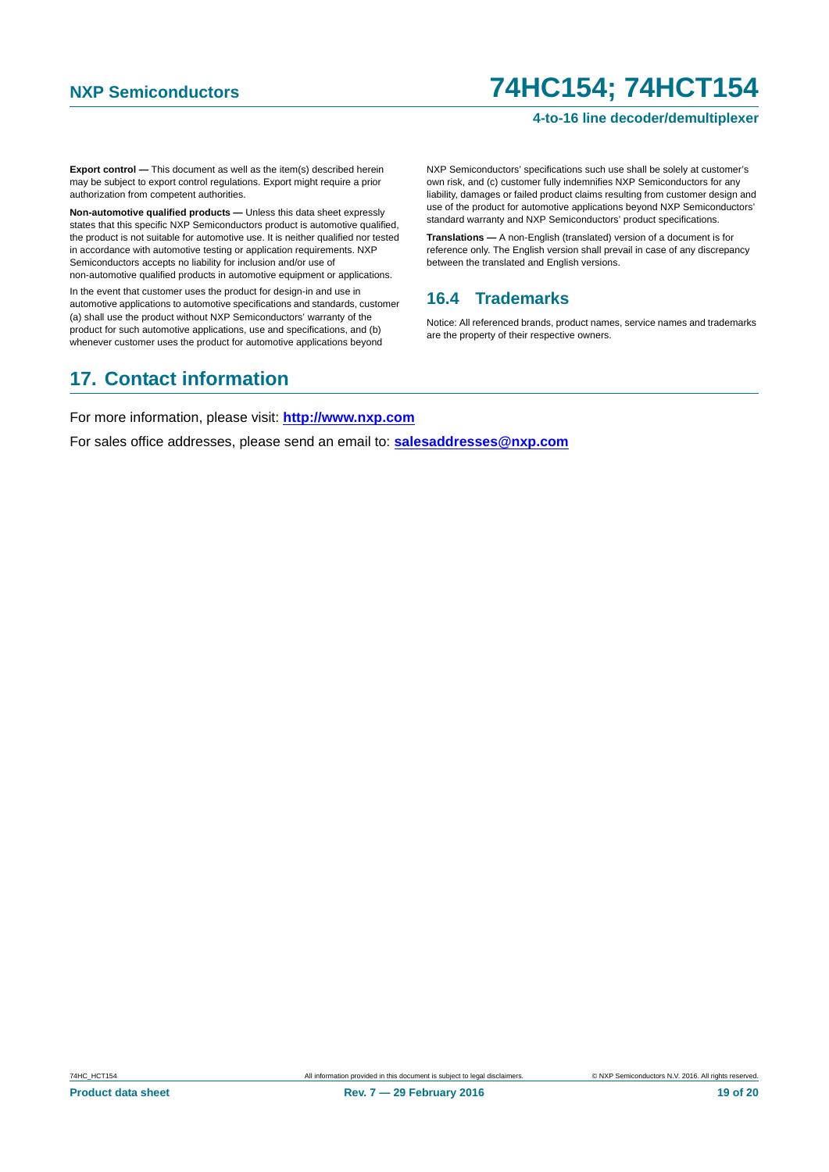### **4-to-16 line decoder/demultiplexer**

**Export control —** This document as well as the item(s) described herein may be subject to export control regulations. Export might require a prior authorization from competent authorities.

**Non-automotive qualified products —** Unless this data sheet expressly states that this specific NXP Semiconductors product is automotive qualified, the product is not suitable for automotive use. It is neither qualified nor tested in accordance with automotive testing or application requirements. NXP Semiconductors accepts no liability for inclusion and/or use of non-automotive qualified products in automotive equipment or applications.

In the event that customer uses the product for design-in and use in automotive applications to automotive specifications and standards, customer (a) shall use the product without NXP Semiconductors' warranty of the product for such automotive applications, use and specifications, and (b) whenever customer uses the product for automotive applications beyond

# <span id="page-18-1"></span>**17. Contact information**

NXP Semiconductors' specifications such use shall be solely at customer's own risk, and (c) customer fully indemnifies NXP Semiconductors for any liability, damages or failed product claims resulting from customer design and use of the product for automotive applications beyond NXP Semiconductors' standard warranty and NXP Semiconductors' product specifications.

**Translations —** A non-English (translated) version of a document is for reference only. The English version shall prevail in case of any discrepancy between the translated and English versions.

## <span id="page-18-0"></span>**16.4 Trademarks**

Notice: All referenced brands, product names, service names and trademarks are the property of their respective owners.

For more information, please visit: **http://www.nxp.com**

For sales office addresses, please send an email to: **salesaddresses@nxp.com**